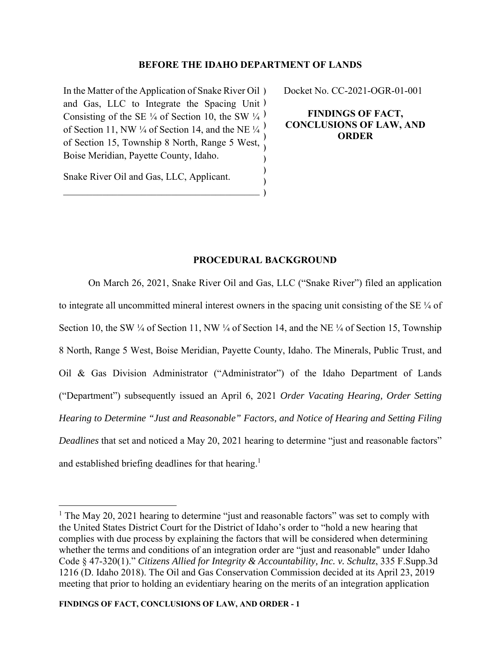# **BEFORE THE IDAHO DEPARTMENT OF LANDS**

In the Matter of the Application of Snake River Oil ) and Gas, LLC to Integrate the Spacing Unit ) Consisting of the SE  $\frac{1}{4}$  of Section 10, the SW  $\frac{1}{4}$ ) of Section 11, NW ¼ of Section 14, and the NE  $\frac{1}{4}$ of Section 15, Township 8 North, Range 5 West, Boise Meridian, Payette County, Idaho. ) ) ) Docket No. CC-2021-OGR-01-001

**FINDINGS OF FACT, CONCLUSIONS OF LAW, AND ORDER** 

Snake River Oil and Gas, LLC, Applicant.

# **PROCEDURAL BACKGROUND**

) ) )

On March 26, 2021, Snake River Oil and Gas, LLC ("Snake River") filed an application to integrate all uncommitted mineral interest owners in the spacing unit consisting of the SE ¼ of Section 10, the SW  $\frac{1}{4}$  of Section 11, NW  $\frac{1}{4}$  of Section 14, and the NE  $\frac{1}{4}$  of Section 15, Township 8 North, Range 5 West, Boise Meridian, Payette County, Idaho. The Minerals, Public Trust, and Oil & Gas Division Administrator ("Administrator") of the Idaho Department of Lands ("Department") subsequently issued an April 6, 2021 *Order Vacating Hearing, Order Setting Hearing to Determine "Just and Reasonable" Factors, and Notice of Hearing and Setting Filing Deadlines* that set and noticed a May 20, 2021 hearing to determine "just and reasonable factors" and established briefing deadlines for that hearing.<sup>1</sup>

<sup>&</sup>lt;sup>1</sup> The May 20, 2021 hearing to determine "just and reasonable factors" was set to comply with the United States District Court for the District of Idaho's order to "hold a new hearing that complies with due process by explaining the factors that will be considered when determining whether the terms and conditions of an integration order are "just and reasonable" under Idaho Code § 47-320(1)." *Citizens Allied for Integrity & Accountability, Inc. v. Schultz*, 335 F.Supp.3d 1216 (D. Idaho 2018). The Oil and Gas Conservation Commission decided at its April 23, 2019 meeting that prior to holding an evidentiary hearing on the merits of an integration application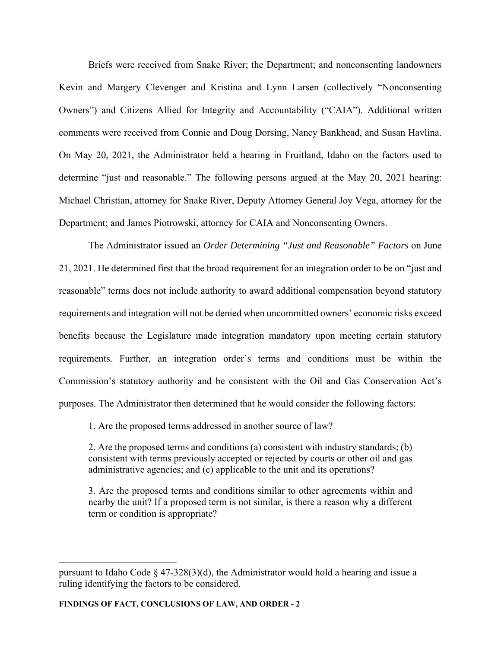Briefs were received from Snake River; the Department; and nonconsenting landowners Kevin and Margery Clevenger and Kristina and Lynn Larsen (collectively "Nonconsenting Owners") and Citizens Allied for Integrity and Accountability ("CAIA"). Additional written comments were received from Connie and Doug Dorsing, Nancy Bankhead, and Susan Havlina. On May 20, 2021, the Administrator held a hearing in Fruitland, Idaho on the factors used to determine "just and reasonable." The following persons argued at the May 20, 2021 hearing: Michael Christian, attorney for Snake River, Deputy Attorney General Joy Vega, attorney for the Department; and James Piotrowski, attorney for CAIA and Nonconsenting Owners.

The Administrator issued an *Order Determining "Just and Reasonable" Factors* on June 21, 2021. He determined first that the broad requirement for an integration order to be on "just and reasonable" terms does not include authority to award additional compensation beyond statutory requirements and integration will not be denied when uncommitted owners' economic risks exceed benefits because the Legislature made integration mandatory upon meeting certain statutory requirements. Further, an integration order's terms and conditions must be within the Commission's statutory authority and be consistent with the Oil and Gas Conservation Act's purposes. The Administrator then determined that he would consider the following factors:

1. Are the proposed terms addressed in another source of law?

2. Are the proposed terms and conditions (a) consistent with industry standards; (b) consistent with terms previously accepted or rejected by courts or other oil and gas administrative agencies; and (c) applicable to the unit and its operations?

3. Are the proposed terms and conditions similar to other agreements within and nearby the unit? If a proposed term is not similar, is there a reason why a different term or condition is appropriate?

pursuant to Idaho Code  $\S$  47-328(3)(d), the Administrator would hold a hearing and issue a ruling identifying the factors to be considered.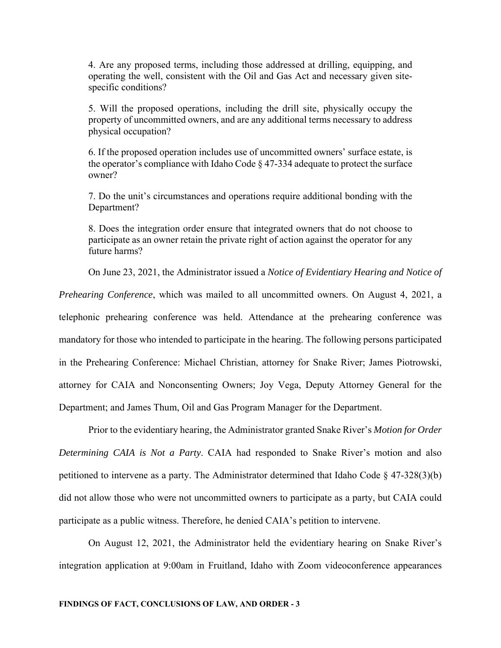4. Are any proposed terms, including those addressed at drilling, equipping, and operating the well, consistent with the Oil and Gas Act and necessary given sitespecific conditions?

5. Will the proposed operations, including the drill site, physically occupy the property of uncommitted owners, and are any additional terms necessary to address physical occupation?

6. If the proposed operation includes use of uncommitted owners' surface estate, is the operator's compliance with Idaho Code  $\S$  47-334 adequate to protect the surface owner?

7. Do the unit's circumstances and operations require additional bonding with the Department?

8. Does the integration order ensure that integrated owners that do not choose to participate as an owner retain the private right of action against the operator for any future harms?

On June 23, 2021, the Administrator issued a *Notice of Evidentiary Hearing and Notice of* 

*Prehearing Conference*, which was mailed to all uncommitted owners. On August 4, 2021, a telephonic prehearing conference was held. Attendance at the prehearing conference was mandatory for those who intended to participate in the hearing. The following persons participated in the Prehearing Conference: Michael Christian, attorney for Snake River; James Piotrowski, attorney for CAIA and Nonconsenting Owners; Joy Vega, Deputy Attorney General for the Department; and James Thum, Oil and Gas Program Manager for the Department.

Prior to the evidentiary hearing, the Administrator granted Snake River's *Motion for Order Determining CAIA is Not a Party*. CAIA had responded to Snake River's motion and also petitioned to intervene as a party. The Administrator determined that Idaho Code § 47-328(3)(b) did not allow those who were not uncommitted owners to participate as a party, but CAIA could participate as a public witness. Therefore, he denied CAIA's petition to intervene.

On August 12, 2021, the Administrator held the evidentiary hearing on Snake River's integration application at 9:00am in Fruitland, Idaho with Zoom videoconference appearances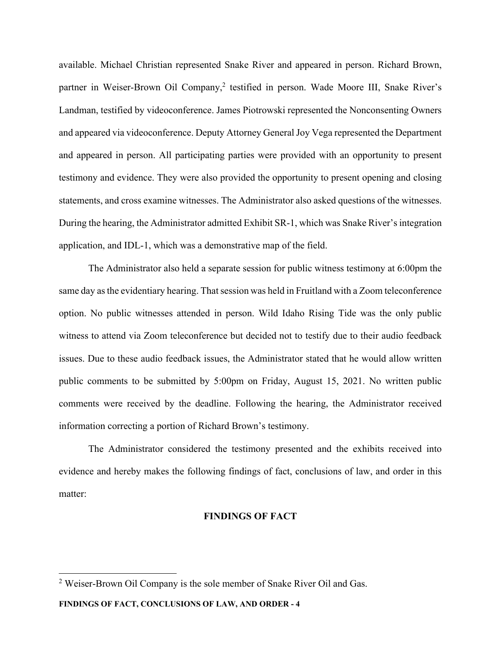available. Michael Christian represented Snake River and appeared in person. Richard Brown, partner in Weiser-Brown Oil Company,<sup>2</sup> testified in person. Wade Moore III, Snake River's Landman, testified by videoconference. James Piotrowski represented the Nonconsenting Owners and appeared via videoconference. Deputy Attorney General Joy Vega represented the Department and appeared in person. All participating parties were provided with an opportunity to present testimony and evidence. They were also provided the opportunity to present opening and closing statements, and cross examine witnesses. The Administrator also asked questions of the witnesses. During the hearing, the Administrator admitted Exhibit SR-1, which was Snake River's integration application, and IDL-1, which was a demonstrative map of the field.

The Administrator also held a separate session for public witness testimony at 6:00pm the same day as the evidentiary hearing. That session was held in Fruitland with a Zoom teleconference option. No public witnesses attended in person. Wild Idaho Rising Tide was the only public witness to attend via Zoom teleconference but decided not to testify due to their audio feedback issues. Due to these audio feedback issues, the Administrator stated that he would allow written public comments to be submitted by 5:00pm on Friday, August 15, 2021. No written public comments were received by the deadline. Following the hearing, the Administrator received information correcting a portion of Richard Brown's testimony.

The Administrator considered the testimony presented and the exhibits received into evidence and hereby makes the following findings of fact, conclusions of law, and order in this matter:

### **FINDINGS OF FACT**

 $2$  Weiser-Brown Oil Company is the sole member of Snake River Oil and Gas.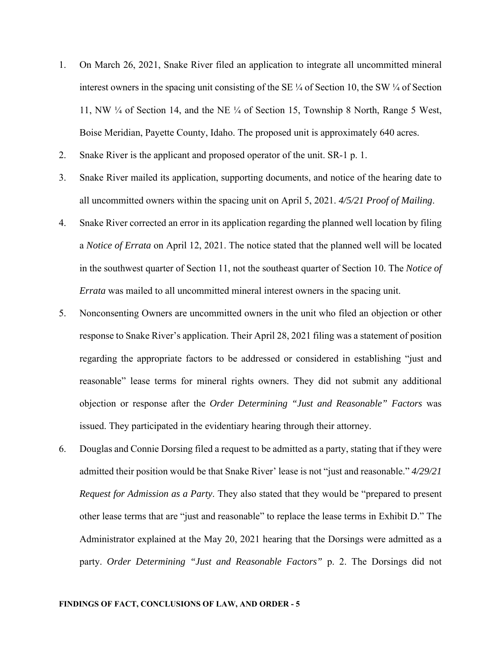- 1. On March 26, 2021, Snake River filed an application to integrate all uncommitted mineral interest owners in the spacing unit consisting of the SE ¼ of Section 10, the SW ¼ of Section 11, NW ¼ of Section 14, and the NE ¼ of Section 15, Township 8 North, Range 5 West, Boise Meridian, Payette County, Idaho. The proposed unit is approximately 640 acres.
- 2. Snake River is the applicant and proposed operator of the unit. SR-1 p. 1.
- 3. Snake River mailed its application, supporting documents, and notice of the hearing date to all uncommitted owners within the spacing unit on April 5, 2021. *4/5/21 Proof of Mailing*.
- 4. Snake River corrected an error in its application regarding the planned well location by filing a *Notice of Errata* on April 12, 2021. The notice stated that the planned well will be located in the southwest quarter of Section 11, not the southeast quarter of Section 10. The *Notice of Errata* was mailed to all uncommitted mineral interest owners in the spacing unit.
- 5. Nonconsenting Owners are uncommitted owners in the unit who filed an objection or other response to Snake River's application. Their April 28, 2021 filing was a statement of position regarding the appropriate factors to be addressed or considered in establishing "just and reasonable" lease terms for mineral rights owners. They did not submit any additional objection or response after the *Order Determining "Just and Reasonable" Factors* was issued. They participated in the evidentiary hearing through their attorney.
- 6. Douglas and Connie Dorsing filed a request to be admitted as a party, stating that if they were admitted their position would be that Snake River' lease is not "just and reasonable." *4/29/21 Request for Admission as a Party*. They also stated that they would be "prepared to present other lease terms that are "just and reasonable" to replace the lease terms in Exhibit D." The Administrator explained at the May 20, 2021 hearing that the Dorsings were admitted as a party. *Order Determining "Just and Reasonable Factors"* p. 2. The Dorsings did not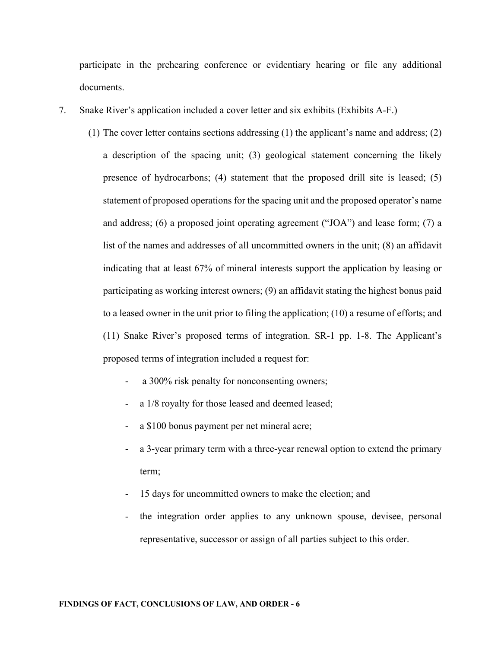participate in the prehearing conference or evidentiary hearing or file any additional documents.

- 7. Snake River's application included a cover letter and six exhibits (Exhibits A-F.)
	- (1) The cover letter contains sections addressing (1) the applicant's name and address; (2) a description of the spacing unit; (3) geological statement concerning the likely presence of hydrocarbons; (4) statement that the proposed drill site is leased; (5) statement of proposed operations for the spacing unit and the proposed operator's name and address; (6) a proposed joint operating agreement ("JOA") and lease form; (7) a list of the names and addresses of all uncommitted owners in the unit; (8) an affidavit indicating that at least 67% of mineral interests support the application by leasing or participating as working interest owners; (9) an affidavit stating the highest bonus paid to a leased owner in the unit prior to filing the application; (10) a resume of efforts; and (11) Snake River's proposed terms of integration. SR-1 pp. 1-8. The Applicant's proposed terms of integration included a request for:
		- a 300% risk penalty for nonconsenting owners;
		- a 1/8 royalty for those leased and deemed leased;
		- a \$100 bonus payment per net mineral acre;
		- a 3-year primary term with a three-year renewal option to extend the primary term;
		- 15 days for uncommitted owners to make the election; and
		- the integration order applies to any unknown spouse, devisee, personal representative, successor or assign of all parties subject to this order.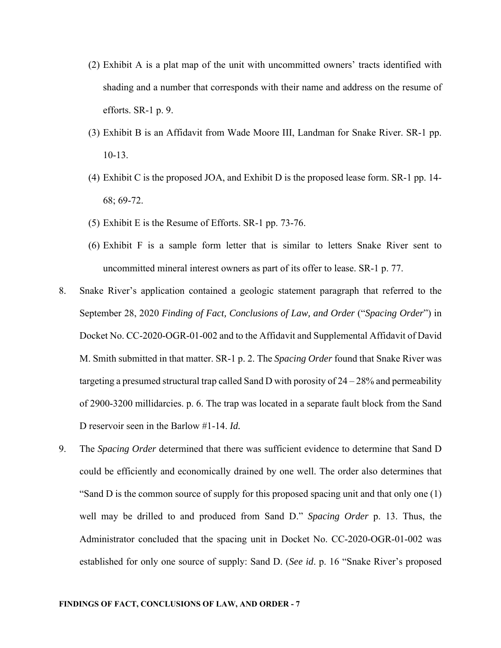- (2) Exhibit A is a plat map of the unit with uncommitted owners' tracts identified with shading and a number that corresponds with their name and address on the resume of efforts. SR-1 p. 9.
- (3) Exhibit B is an Affidavit from Wade Moore III, Landman for Snake River. SR-1 pp. 10-13.
- (4) Exhibit C is the proposed JOA, and Exhibit D is the proposed lease form. SR-1 pp. 14- 68; 69-72.
- (5) Exhibit E is the Resume of Efforts. SR-1 pp. 73-76.
- (6) Exhibit F is a sample form letter that is similar to letters Snake River sent to uncommitted mineral interest owners as part of its offer to lease. SR-1 p. 77.
- 8. Snake River's application contained a geologic statement paragraph that referred to the September 28, 2020 *Finding of Fact, Conclusions of Law, and Order* ("*Spacing Order*") in Docket No. CC-2020-OGR-01-002 and to the Affidavit and Supplemental Affidavit of David M. Smith submitted in that matter. SR-1 p. 2. The *Spacing Order* found that Snake River was targeting a presumed structural trap called Sand D with porosity of  $24 - 28\%$  and permeability of 2900-3200 millidarcies. p. 6. The trap was located in a separate fault block from the Sand D reservoir seen in the Barlow #1-14. *Id.*
- 9. The *Spacing Order* determined that there was sufficient evidence to determine that Sand D could be efficiently and economically drained by one well. The order also determines that "Sand D is the common source of supply for this proposed spacing unit and that only one (1) well may be drilled to and produced from Sand D." *Spacing Order* p. 13. Thus, the Administrator concluded that the spacing unit in Docket No. CC-2020-OGR-01-002 was established for only one source of supply: Sand D. (*See id*. p. 16 "Snake River's proposed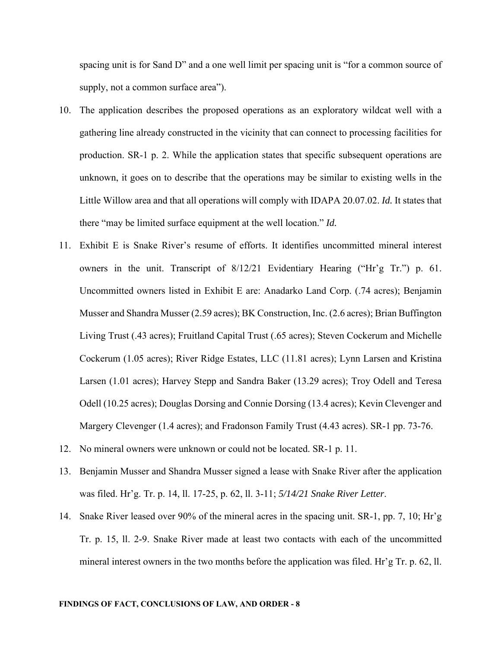spacing unit is for Sand D" and a one well limit per spacing unit is "for a common source of supply, not a common surface area").

- 10. The application describes the proposed operations as an exploratory wildcat well with a gathering line already constructed in the vicinity that can connect to processing facilities for production. SR-1 p. 2. While the application states that specific subsequent operations are unknown, it goes on to describe that the operations may be similar to existing wells in the Little Willow area and that all operations will comply with IDAPA 20.07.02. *Id.* It states that there "may be limited surface equipment at the well location." *Id.*
- 11. Exhibit E is Snake River's resume of efforts. It identifies uncommitted mineral interest owners in the unit. Transcript of 8/12/21 Evidentiary Hearing ("Hr'g Tr.") p. 61. Uncommitted owners listed in Exhibit E are: Anadarko Land Corp. (.74 acres); Benjamin Musser and Shandra Musser (2.59 acres); BK Construction, Inc. (2.6 acres); Brian Buffington Living Trust (.43 acres); Fruitland Capital Trust (.65 acres); Steven Cockerum and Michelle Cockerum (1.05 acres); River Ridge Estates, LLC (11.81 acres); Lynn Larsen and Kristina Larsen (1.01 acres); Harvey Stepp and Sandra Baker (13.29 acres); Troy Odell and Teresa Odell (10.25 acres); Douglas Dorsing and Connie Dorsing (13.4 acres); Kevin Clevenger and Margery Clevenger (1.4 acres); and Fradonson Family Trust (4.43 acres). SR-1 pp. 73-76.
- 12. No mineral owners were unknown or could not be located. SR-1 p. 11.
- 13. Benjamin Musser and Shandra Musser signed a lease with Snake River after the application was filed. Hr'g. Tr. p. 14, ll. 17-25, p. 62, ll. 3-11; *5/14/21 Snake River Letter*.
- 14. Snake River leased over 90% of the mineral acres in the spacing unit. SR-1, pp. 7, 10; Hr'g Tr. p. 15, ll. 2-9. Snake River made at least two contacts with each of the uncommitted mineral interest owners in the two months before the application was filed. Hr'g Tr. p. 62, ll.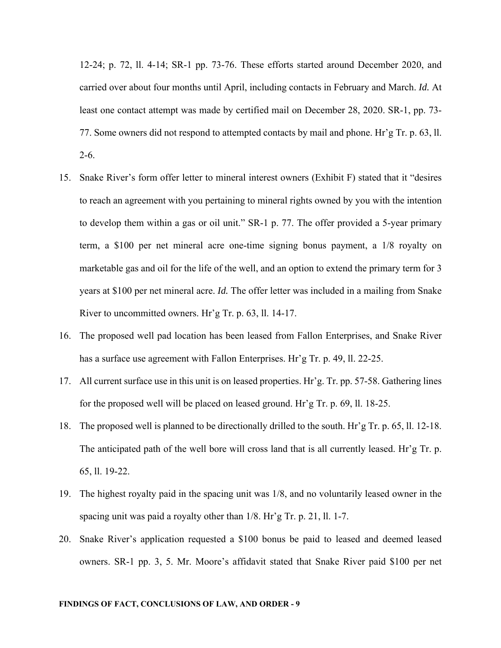12-24; p. 72, ll. 4-14; SR-1 pp. 73-76. These efforts started around December 2020, and carried over about four months until April, including contacts in February and March. *Id.* At least one contact attempt was made by certified mail on December 28, 2020. SR-1, pp. 73- 77. Some owners did not respond to attempted contacts by mail and phone. Hr'g Tr. p. 63, ll. 2-6.

- 15. Snake River's form offer letter to mineral interest owners (Exhibit F) stated that it "desires to reach an agreement with you pertaining to mineral rights owned by you with the intention to develop them within a gas or oil unit." SR-1 p. 77. The offer provided a 5-year primary term, a \$100 per net mineral acre one-time signing bonus payment, a 1/8 royalty on marketable gas and oil for the life of the well, and an option to extend the primary term for 3 years at \$100 per net mineral acre. *Id.* The offer letter was included in a mailing from Snake River to uncommitted owners. Hr'g Tr. p. 63, ll. 14-17.
- 16. The proposed well pad location has been leased from Fallon Enterprises, and Snake River has a surface use agreement with Fallon Enterprises. Hr'g Tr. p. 49, ll. 22-25.
- 17. All current surface use in this unit is on leased properties. Hr'g. Tr. pp. 57-58. Gathering lines for the proposed well will be placed on leased ground. Hr'g Tr. p. 69, ll. 18-25.
- 18. The proposed well is planned to be directionally drilled to the south. Hr'g Tr. p. 65, ll. 12-18. The anticipated path of the well bore will cross land that is all currently leased. Hr'g Tr. p. 65, ll. 19-22.
- 19. The highest royalty paid in the spacing unit was 1/8, and no voluntarily leased owner in the spacing unit was paid a royalty other than 1/8. Hr'g Tr. p. 21, ll. 1-7.
- 20. Snake River's application requested a \$100 bonus be paid to leased and deemed leased owners. SR-1 pp. 3, 5. Mr. Moore's affidavit stated that Snake River paid \$100 per net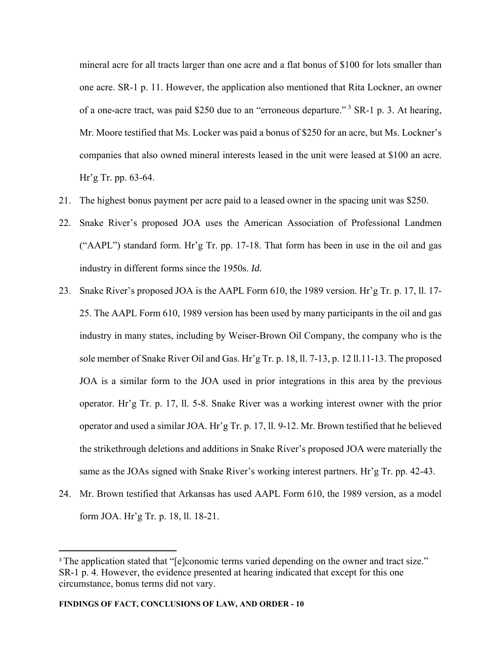mineral acre for all tracts larger than one acre and a flat bonus of \$100 for lots smaller than one acre. SR-1 p. 11. However, the application also mentioned that Rita Lockner, an owner of a one-acre tract, was paid \$250 due to an "erroneous departure." 3 SR-1 p. 3. At hearing, Mr. Moore testified that Ms. Locker was paid a bonus of \$250 for an acre, but Ms. Lockner's companies that also owned mineral interests leased in the unit were leased at \$100 an acre. Hr'g Tr. pp. 63-64.

- 21. The highest bonus payment per acre paid to a leased owner in the spacing unit was \$250.
- 22. Snake River's proposed JOA uses the American Association of Professional Landmen ("AAPL") standard form. Hr'g Tr. pp. 17-18. That form has been in use in the oil and gas industry in different forms since the 1950s. *Id.*
- 23. Snake River's proposed JOA is the AAPL Form 610, the 1989 version. Hr'g Tr. p. 17, ll. 17- 25. The AAPL Form 610, 1989 version has been used by many participants in the oil and gas industry in many states, including by Weiser-Brown Oil Company, the company who is the sole member of Snake River Oil and Gas. Hr'g Tr. p. 18, ll. 7-13, p. 12 ll.11-13. The proposed JOA is a similar form to the JOA used in prior integrations in this area by the previous operator. Hr'g Tr. p. 17, ll. 5-8. Snake River was a working interest owner with the prior operator and used a similar JOA. Hr'g Tr. p. 17, ll. 9-12. Mr. Brown testified that he believed the strikethrough deletions and additions in Snake River's proposed JOA were materially the same as the JOAs signed with Snake River's working interest partners. Hr'g Tr. pp. 42-43.
- 24. Mr. Brown testified that Arkansas has used AAPL Form 610, the 1989 version, as a model form JOA. Hr'g Tr. p. 18, ll. 18-21.

<sup>&</sup>lt;sup>3</sup> The application stated that "[e]conomic terms varied depending on the owner and tract size." SR-1 p. 4. However, the evidence presented at hearing indicated that except for this one circumstance, bonus terms did not vary.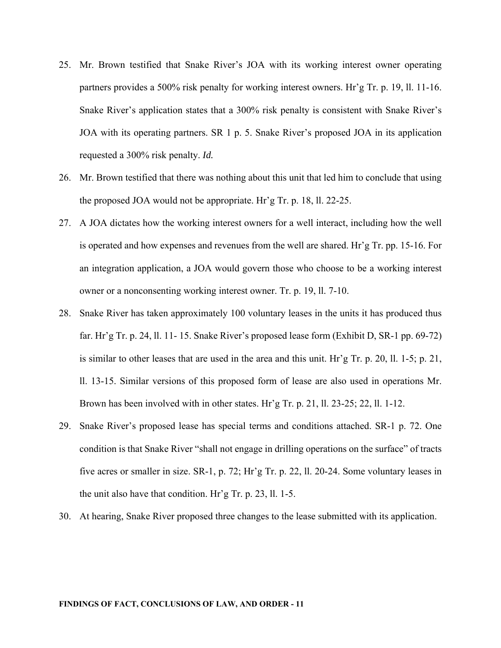- 25. Mr. Brown testified that Snake River's JOA with its working interest owner operating partners provides a 500% risk penalty for working interest owners. Hr'g Tr. p. 19, ll. 11-16. Snake River's application states that a 300% risk penalty is consistent with Snake River's JOA with its operating partners. SR 1 p. 5. Snake River's proposed JOA in its application requested a 300% risk penalty. *Id.*
- 26. Mr. Brown testified that there was nothing about this unit that led him to conclude that using the proposed JOA would not be appropriate. Hr'g Tr. p. 18, ll. 22-25.
- 27. A JOA dictates how the working interest owners for a well interact, including how the well is operated and how expenses and revenues from the well are shared. Hr'g Tr. pp. 15-16. For an integration application, a JOA would govern those who choose to be a working interest owner or a nonconsenting working interest owner. Tr. p. 19, ll. 7-10.
- 28. Snake River has taken approximately 100 voluntary leases in the units it has produced thus far. Hr'g Tr. p. 24, ll. 11- 15. Snake River's proposed lease form (Exhibit D, SR-1 pp. 69-72) is similar to other leases that are used in the area and this unit. Hr'g Tr. p. 20, ll. 1-5; p. 21, ll. 13-15. Similar versions of this proposed form of lease are also used in operations Mr. Brown has been involved with in other states. Hr'g Tr. p. 21, ll. 23-25; 22, ll. 1-12.
- 29. Snake River's proposed lease has special terms and conditions attached. SR-1 p. 72. One condition is that Snake River "shall not engage in drilling operations on the surface" of tracts five acres or smaller in size. SR-1, p. 72; Hr'g Tr. p. 22, ll. 20-24. Some voluntary leases in the unit also have that condition. Hr'g Tr. p. 23, ll. 1-5.
- 30. At hearing, Snake River proposed three changes to the lease submitted with its application.

#### **FINDINGS OF FACT, CONCLUSIONS OF LAW, AND ORDER - 11**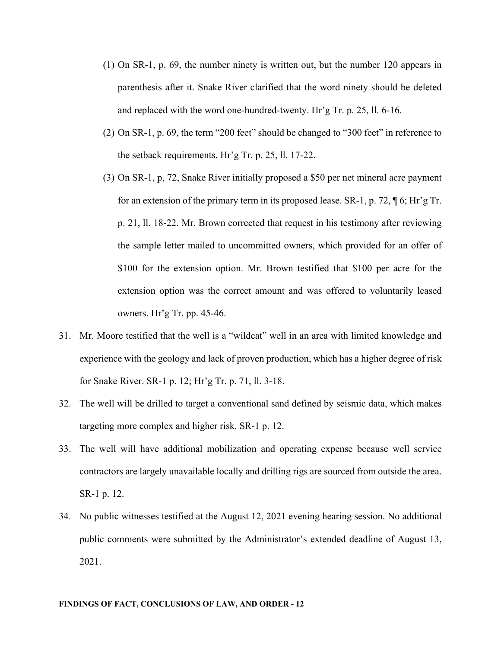- (1) On SR-1, p. 69, the number ninety is written out, but the number 120 appears in parenthesis after it. Snake River clarified that the word ninety should be deleted and replaced with the word one-hundred-twenty. Hr'g Tr. p. 25, ll. 6-16.
- (2) On SR-1, p. 69, the term "200 feet" should be changed to "300 feet" in reference to the setback requirements. Hr'g Tr. p. 25, ll. 17-22.
- (3) On SR-1, p, 72, Snake River initially proposed a \$50 per net mineral acre payment for an extension of the primary term in its proposed lease. SR-1, p. 72, ¶ 6; Hr'g Tr. p. 21, ll. 18-22. Mr. Brown corrected that request in his testimony after reviewing the sample letter mailed to uncommitted owners, which provided for an offer of \$100 for the extension option. Mr. Brown testified that \$100 per acre for the extension option was the correct amount and was offered to voluntarily leased owners. Hr'g Tr. pp. 45-46.
- 31. Mr. Moore testified that the well is a "wildcat" well in an area with limited knowledge and experience with the geology and lack of proven production, which has a higher degree of risk for Snake River. SR-1 p. 12; Hr'g Tr. p. 71, ll. 3-18.
- 32. The well will be drilled to target a conventional sand defined by seismic data, which makes targeting more complex and higher risk. SR-1 p. 12.
- 33. The well will have additional mobilization and operating expense because well service contractors are largely unavailable locally and drilling rigs are sourced from outside the area. SR-1 p. 12.
- 34. No public witnesses testified at the August 12, 2021 evening hearing session. No additional public comments were submitted by the Administrator's extended deadline of August 13, 2021.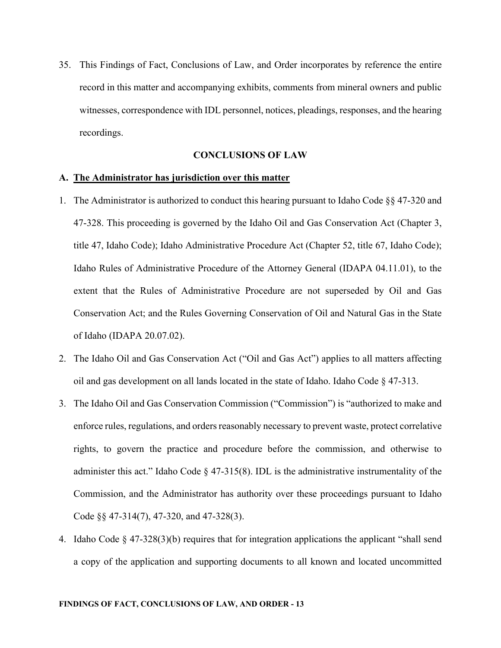35. This Findings of Fact, Conclusions of Law, and Order incorporates by reference the entire record in this matter and accompanying exhibits, comments from mineral owners and public witnesses, correspondence with IDL personnel, notices, pleadings, responses, and the hearing recordings.

## **CONCLUSIONS OF LAW**

## **A. The Administrator has jurisdiction over this matter**

- 1. The Administrator is authorized to conduct this hearing pursuant to Idaho Code §§ 47-320 and 47-328. This proceeding is governed by the Idaho Oil and Gas Conservation Act (Chapter 3, title 47, Idaho Code); Idaho Administrative Procedure Act (Chapter 52, title 67, Idaho Code); Idaho Rules of Administrative Procedure of the Attorney General (IDAPA 04.11.01), to the extent that the Rules of Administrative Procedure are not superseded by Oil and Gas Conservation Act; and the Rules Governing Conservation of Oil and Natural Gas in the State of Idaho (IDAPA 20.07.02).
- 2. The Idaho Oil and Gas Conservation Act ("Oil and Gas Act") applies to all matters affecting oil and gas development on all lands located in the state of Idaho. Idaho Code § 47-313.
- 3. The Idaho Oil and Gas Conservation Commission ("Commission") is "authorized to make and enforce rules, regulations, and orders reasonably necessary to prevent waste, protect correlative rights, to govern the practice and procedure before the commission, and otherwise to administer this act." Idaho Code  $\S$  47-315(8). IDL is the administrative instrumentality of the Commission, and the Administrator has authority over these proceedings pursuant to Idaho Code §§ 47-314(7), 47-320, and 47-328(3).
- 4. Idaho Code § 47-328(3)(b) requires that for integration applications the applicant "shall send a copy of the application and supporting documents to all known and located uncommitted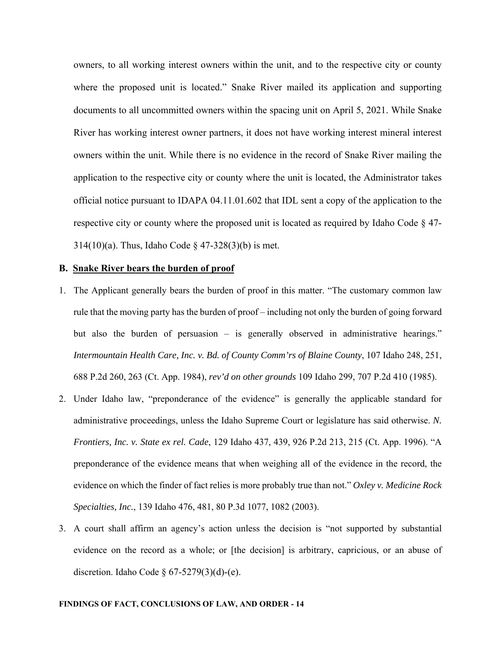owners, to all working interest owners within the unit, and to the respective city or county where the proposed unit is located." Snake River mailed its application and supporting documents to all uncommitted owners within the spacing unit on April 5, 2021. While Snake River has working interest owner partners, it does not have working interest mineral interest owners within the unit. While there is no evidence in the record of Snake River mailing the application to the respective city or county where the unit is located, the Administrator takes official notice pursuant to IDAPA 04.11.01.602 that IDL sent a copy of the application to the respective city or county where the proposed unit is located as required by Idaho Code § 47- 314(10)(a). Thus, Idaho Code § 47-328(3)(b) is met.

## **B. Snake River bears the burden of proof**

- 1. The Applicant generally bears the burden of proof in this matter. "The customary common law rule that the moving party has the burden of proof – including not only the burden of going forward but also the burden of persuasion – is generally observed in administrative hearings." *Intermountain Health Care, Inc. v. Bd. of County Comm'rs of Blaine County*, 107 Idaho 248, 251, 688 P.2d 260, 263 (Ct. App. 1984), *rev'd on other grounds* 109 Idaho 299, 707 P.2d 410 (1985).
- 2. Under Idaho law, "preponderance of the evidence" is generally the applicable standard for administrative proceedings, unless the Idaho Supreme Court or legislature has said otherwise. *N. Frontiers, Inc. v. State ex rel. Cade*, 129 Idaho 437, 439, 926 P.2d 213, 215 (Ct. App. 1996). "A preponderance of the evidence means that when weighing all of the evidence in the record, the evidence on which the finder of fact relies is more probably true than not." *Oxley v. Medicine Rock Specialties, Inc.*, 139 Idaho 476, 481, 80 P.3d 1077, 1082 (2003).
- 3. A court shall affirm an agency's action unless the decision is "not supported by substantial evidence on the record as a whole; or [the decision] is arbitrary, capricious, or an abuse of discretion. Idaho Code  $\frac{67-5279(3)(d)-(e)}{2}$ .

#### **FINDINGS OF FACT, CONCLUSIONS OF LAW, AND ORDER - 14**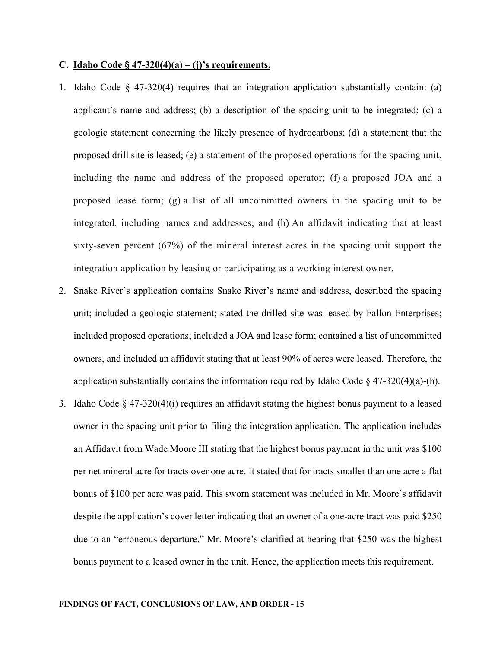#### **C. Idaho Code § 47-320(4)(a) – (j)'s requirements.**

- 1. Idaho Code  $\S$  47-320(4) requires that an integration application substantially contain: (a) applicant's name and address; (b) a description of the spacing unit to be integrated; (c) a geologic statement concerning the likely presence of hydrocarbons; (d) a statement that the proposed drill site is leased; (e) a statement of the proposed operations for the spacing unit, including the name and address of the proposed operator; (f) a proposed JOA and a proposed lease form; (g) a list of all uncommitted owners in the spacing unit to be integrated, including names and addresses; and (h) An affidavit indicating that at least sixty-seven percent (67%) of the mineral interest acres in the spacing unit support the integration application by leasing or participating as a working interest owner.
- 2. Snake River's application contains Snake River's name and address, described the spacing unit; included a geologic statement; stated the drilled site was leased by Fallon Enterprises; included proposed operations; included a JOA and lease form; contained a list of uncommitted owners, and included an affidavit stating that at least 90% of acres were leased. Therefore, the application substantially contains the information required by Idaho Code  $\S$  47-320(4)(a)-(h).
- 3. Idaho Code  $\S 47-320(4)(i)$  requires an affidavit stating the highest bonus payment to a leased owner in the spacing unit prior to filing the integration application. The application includes an Affidavit from Wade Moore III stating that the highest bonus payment in the unit was \$100 per net mineral acre for tracts over one acre. It stated that for tracts smaller than one acre a flat bonus of \$100 per acre was paid. This sworn statement was included in Mr. Moore's affidavit despite the application's cover letter indicating that an owner of a one-acre tract was paid \$250 due to an "erroneous departure." Mr. Moore's clarified at hearing that \$250 was the highest bonus payment to a leased owner in the unit. Hence, the application meets this requirement.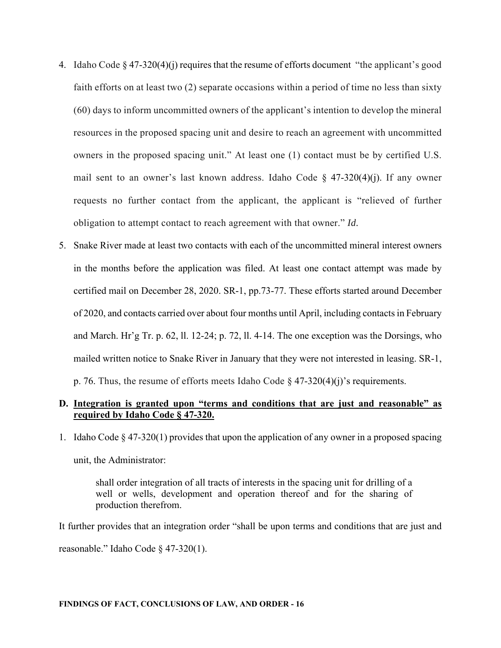- 4. Idaho Code  $\S 47-320(4)(i)$  requires that the resume of efforts document "the applicant's good faith efforts on at least two (2) separate occasions within a period of time no less than sixty (60) days to inform uncommitted owners of the applicant's intention to develop the mineral resources in the proposed spacing unit and desire to reach an agreement with uncommitted owners in the proposed spacing unit." At least one (1) contact must be by certified U.S. mail sent to an owner's last known address. Idaho Code  $\S$  47-320(4)(j). If any owner requests no further contact from the applicant, the applicant is "relieved of further obligation to attempt contact to reach agreement with that owner." *Id.*
- 5. Snake River made at least two contacts with each of the uncommitted mineral interest owners in the months before the application was filed. At least one contact attempt was made by certified mail on December 28, 2020. SR-1, pp.73-77. These efforts started around December of 2020, and contacts carried over about four months until April, including contacts in February and March. Hr'g Tr. p. 62, ll. 12-24; p. 72, ll. 4-14. The one exception was the Dorsings, who mailed written notice to Snake River in January that they were not interested in leasing. SR-1, p. 76. Thus, the resume of efforts meets Idaho Code  $\S$  47-320(4)(j)'s requirements.

# **D. Integration is granted upon "terms and conditions that are just and reasonable" as required by Idaho Code § 47-320.**

1. Idaho Code  $\S 47-320(1)$  provides that upon the application of any owner in a proposed spacing unit, the Administrator:

shall order integration of all tracts of interests in the spacing unit for drilling of a well or wells, development and operation thereof and for the sharing of production therefrom.

It further provides that an integration order "shall be upon terms and conditions that are just and reasonable." Idaho Code § 47-320(1).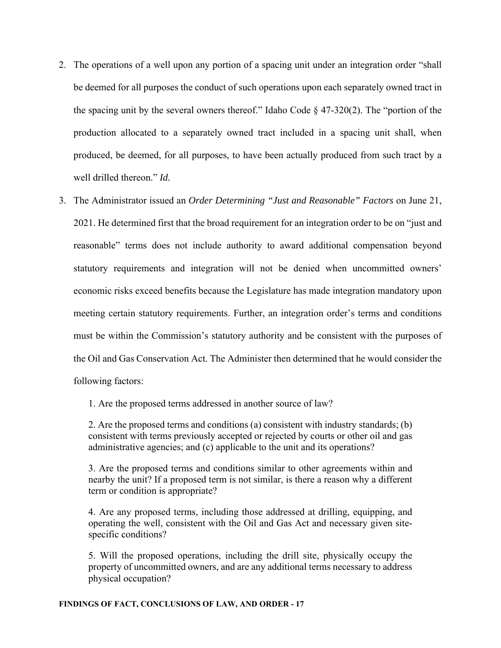- 2. The operations of a well upon any portion of a spacing unit under an integration order "shall be deemed for all purposes the conduct of such operations upon each separately owned tract in the spacing unit by the several owners thereof." Idaho Code  $\S$  47-320(2). The "portion of the production allocated to a separately owned tract included in a spacing unit shall, when produced, be deemed, for all purposes, to have been actually produced from such tract by a well drilled thereon." *Id.*
- 3. The Administrator issued an *Order Determining "Just and Reasonable" Factors* on June 21, 2021. He determined first that the broad requirement for an integration order to be on "just and reasonable" terms does not include authority to award additional compensation beyond statutory requirements and integration will not be denied when uncommitted owners' economic risks exceed benefits because the Legislature has made integration mandatory upon meeting certain statutory requirements. Further, an integration order's terms and conditions must be within the Commission's statutory authority and be consistent with the purposes of the Oil and Gas Conservation Act. The Administer then determined that he would consider the following factors:

1. Are the proposed terms addressed in another source of law?

2. Are the proposed terms and conditions (a) consistent with industry standards; (b) consistent with terms previously accepted or rejected by courts or other oil and gas administrative agencies; and (c) applicable to the unit and its operations?

3. Are the proposed terms and conditions similar to other agreements within and nearby the unit? If a proposed term is not similar, is there a reason why a different term or condition is appropriate?

4. Are any proposed terms, including those addressed at drilling, equipping, and operating the well, consistent with the Oil and Gas Act and necessary given sitespecific conditions?

5. Will the proposed operations, including the drill site, physically occupy the property of uncommitted owners, and are any additional terms necessary to address physical occupation?

### **FINDINGS OF FACT, CONCLUSIONS OF LAW, AND ORDER - 17**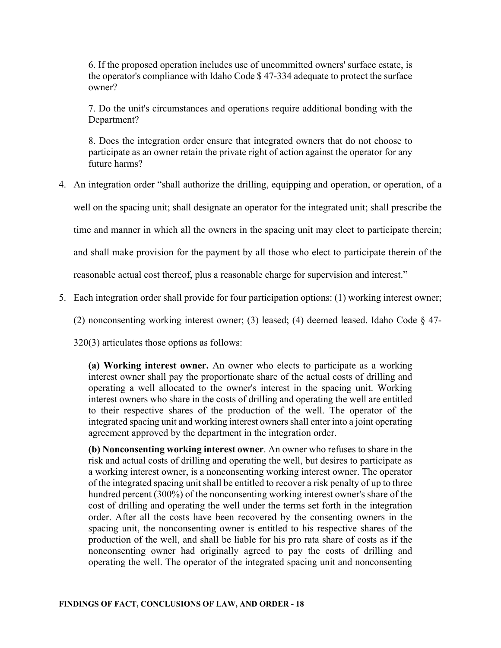6. If the proposed operation includes use of uncommitted owners' surface estate, is the operator's compliance with Idaho Code \$ 47-334 adequate to protect the surface owner?

7. Do the unit's circumstances and operations require additional bonding with the Department?

8. Does the integration order ensure that integrated owners that do not choose to participate as an owner retain the private right of action against the operator for any future harms?

4. An integration order "shall authorize the drilling, equipping and operation, or operation, of a

well on the spacing unit; shall designate an operator for the integrated unit; shall prescribe the

time and manner in which all the owners in the spacing unit may elect to participate therein;

and shall make provision for the payment by all those who elect to participate therein of the

reasonable actual cost thereof, plus a reasonable charge for supervision and interest."

5. Each integration order shall provide for four participation options: (1) working interest owner;

(2) nonconsenting working interest owner; (3) leased; (4) deemed leased. Idaho Code § 47-

320(3) articulates those options as follows:

**(a) Working interest owner.** An owner who elects to participate as a working interest owner shall pay the proportionate share of the actual costs of drilling and operating a well allocated to the owner's interest in the spacing unit. Working interest owners who share in the costs of drilling and operating the well are entitled to their respective shares of the production of the well. The operator of the integrated spacing unit and working interest owners shall enter into a joint operating agreement approved by the department in the integration order.

**(b) Nonconsenting working interest owner**. An owner who refuses to share in the risk and actual costs of drilling and operating the well, but desires to participate as a working interest owner, is a nonconsenting working interest owner. The operator of the integrated spacing unit shall be entitled to recover a risk penalty of up to three hundred percent (300%) of the nonconsenting working interest owner's share of the cost of drilling and operating the well under the terms set forth in the integration order. After all the costs have been recovered by the consenting owners in the spacing unit, the nonconsenting owner is entitled to his respective shares of the production of the well, and shall be liable for his pro rata share of costs as if the nonconsenting owner had originally agreed to pay the costs of drilling and operating the well. The operator of the integrated spacing unit and nonconsenting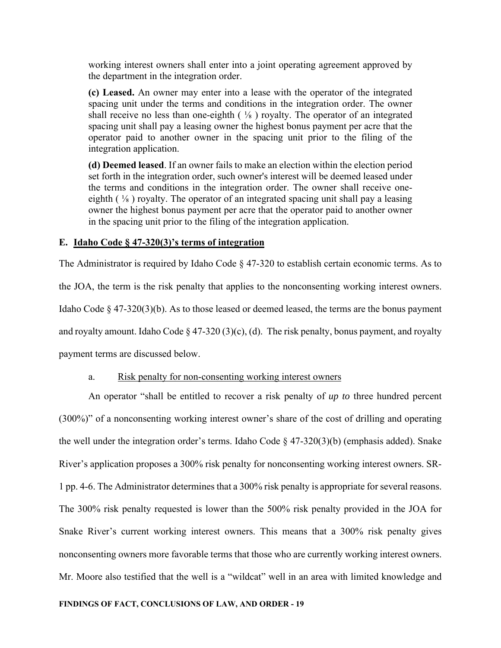working interest owners shall enter into a joint operating agreement approved by the department in the integration order.

**(c) Leased.** An owner may enter into a lease with the operator of the integrated spacing unit under the terms and conditions in the integration order. The owner shall receive no less than one-eighth  $(\frac{1}{8})$  royalty. The operator of an integrated spacing unit shall pay a leasing owner the highest bonus payment per acre that the operator paid to another owner in the spacing unit prior to the filing of the integration application.

**(d) Deemed leased**. If an owner fails to make an election within the election period set forth in the integration order, such owner's interest will be deemed leased under the terms and conditions in the integration order. The owner shall receive oneeighth  $(\frac{1}{8})$  royalty. The operator of an integrated spacing unit shall pay a leasing owner the highest bonus payment per acre that the operator paid to another owner in the spacing unit prior to the filing of the integration application.

# **E. Idaho Code § 47-320(3)'s terms of integration**

The Administrator is required by Idaho Code § 47-320 to establish certain economic terms. As to the JOA, the term is the risk penalty that applies to the nonconsenting working interest owners. Idaho Code § 47-320(3)(b). As to those leased or deemed leased, the terms are the bonus payment and royalty amount. Idaho Code § 47-320 (3)(c), (d). The risk penalty, bonus payment, and royalty payment terms are discussed below.

## a. Risk penalty for non-consenting working interest owners

An operator "shall be entitled to recover a risk penalty of *up to* three hundred percent (300%)" of a nonconsenting working interest owner's share of the cost of drilling and operating the well under the integration order's terms. Idaho Code § 47-320(3)(b) (emphasis added). Snake River's application proposes a 300% risk penalty for nonconsenting working interest owners. SR-1 pp. 4-6. The Administrator determines that a 300% risk penalty is appropriate for several reasons. The 300% risk penalty requested is lower than the 500% risk penalty provided in the JOA for Snake River's current working interest owners. This means that a 300% risk penalty gives nonconsenting owners more favorable terms that those who are currently working interest owners. Mr. Moore also testified that the well is a "wildcat" well in an area with limited knowledge and

## **FINDINGS OF FACT, CONCLUSIONS OF LAW, AND ORDER - 19**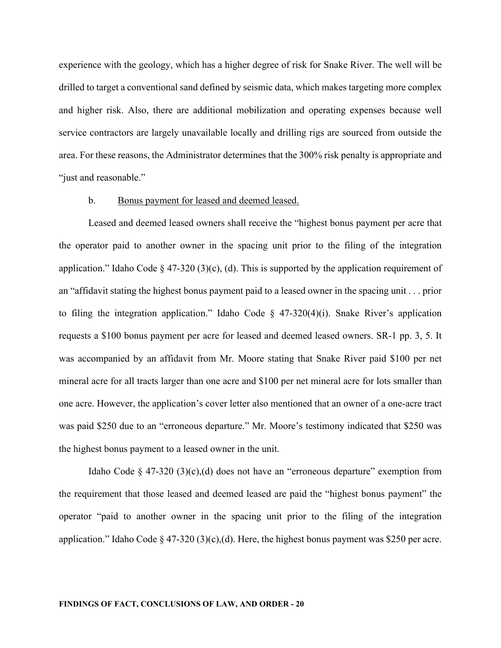experience with the geology, which has a higher degree of risk for Snake River. The well will be drilled to target a conventional sand defined by seismic data, which makes targeting more complex and higher risk. Also, there are additional mobilization and operating expenses because well service contractors are largely unavailable locally and drilling rigs are sourced from outside the area. For these reasons, the Administrator determines that the 300% risk penalty is appropriate and "just and reasonable."

## b. Bonus payment for leased and deemed leased.

Leased and deemed leased owners shall receive the "highest bonus payment per acre that the operator paid to another owner in the spacing unit prior to the filing of the integration application." Idaho Code § 47-320 (3)(c), (d). This is supported by the application requirement of an "affidavit stating the highest bonus payment paid to a leased owner in the spacing unit . . . prior to filing the integration application." Idaho Code  $\S$  47-320(4)(i). Snake River's application requests a \$100 bonus payment per acre for leased and deemed leased owners. SR-1 pp. 3, 5. It was accompanied by an affidavit from Mr. Moore stating that Snake River paid \$100 per net mineral acre for all tracts larger than one acre and \$100 per net mineral acre for lots smaller than one acre. However, the application's cover letter also mentioned that an owner of a one-acre tract was paid \$250 due to an "erroneous departure." Mr. Moore's testimony indicated that \$250 was the highest bonus payment to a leased owner in the unit.

Idaho Code  $\S$  47-320 (3)(c),(d) does not have an "erroneous departure" exemption from the requirement that those leased and deemed leased are paid the "highest bonus payment" the operator "paid to another owner in the spacing unit prior to the filing of the integration application." Idaho Code § 47-320 (3)(c),(d). Here, the highest bonus payment was \$250 per acre.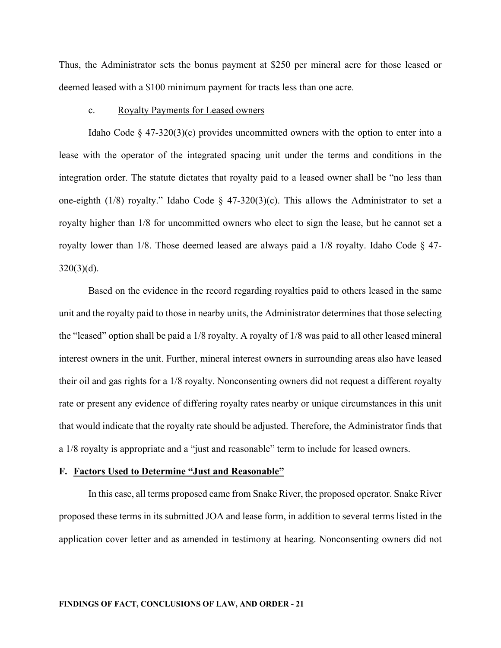Thus, the Administrator sets the bonus payment at \$250 per mineral acre for those leased or deemed leased with a \$100 minimum payment for tracts less than one acre.

## c. Royalty Payments for Leased owners

Idaho Code § 47-320(3)(c) provides uncommitted owners with the option to enter into a lease with the operator of the integrated spacing unit under the terms and conditions in the integration order. The statute dictates that royalty paid to a leased owner shall be "no less than one-eighth (1/8) royalty." Idaho Code  $\S$  47-320(3)(c). This allows the Administrator to set a royalty higher than 1/8 for uncommitted owners who elect to sign the lease, but he cannot set a royalty lower than 1/8. Those deemed leased are always paid a 1/8 royalty. Idaho Code § 47-  $320(3)(d)$ .

Based on the evidence in the record regarding royalties paid to others leased in the same unit and the royalty paid to those in nearby units, the Administrator determines that those selecting the "leased" option shall be paid a 1/8 royalty. A royalty of 1/8 was paid to all other leased mineral interest owners in the unit. Further, mineral interest owners in surrounding areas also have leased their oil and gas rights for a 1/8 royalty. Nonconsenting owners did not request a different royalty rate or present any evidence of differing royalty rates nearby or unique circumstances in this unit that would indicate that the royalty rate should be adjusted. Therefore, the Administrator finds that a 1/8 royalty is appropriate and a "just and reasonable" term to include for leased owners.

#### **F. Factors Used to Determine "Just and Reasonable"**

In this case, all terms proposed came from Snake River, the proposed operator. Snake River proposed these terms in its submitted JOA and lease form, in addition to several terms listed in the application cover letter and as amended in testimony at hearing. Nonconsenting owners did not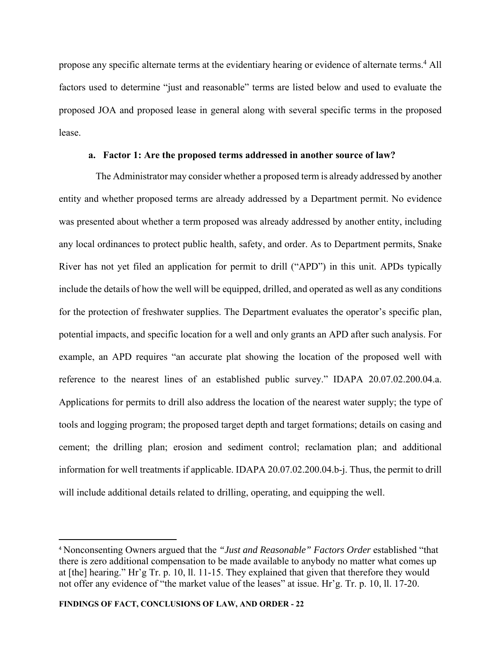propose any specific alternate terms at the evidentiary hearing or evidence of alternate terms.<sup>4</sup> All factors used to determine "just and reasonable" terms are listed below and used to evaluate the proposed JOA and proposed lease in general along with several specific terms in the proposed lease.

## **a. Factor 1: Are the proposed terms addressed in another source of law?**

The Administrator may consider whether a proposed term is already addressed by another entity and whether proposed terms are already addressed by a Department permit. No evidence was presented about whether a term proposed was already addressed by another entity, including any local ordinances to protect public health, safety, and order. As to Department permits, Snake River has not yet filed an application for permit to drill ("APD") in this unit. APDs typically include the details of how the well will be equipped, drilled, and operated as well as any conditions for the protection of freshwater supplies. The Department evaluates the operator's specific plan, potential impacts, and specific location for a well and only grants an APD after such analysis. For example, an APD requires "an accurate plat showing the location of the proposed well with reference to the nearest lines of an established public survey." IDAPA 20.07.02.200.04.a. Applications for permits to drill also address the location of the nearest water supply; the type of tools and logging program; the proposed target depth and target formations; details on casing and cement; the drilling plan; erosion and sediment control; reclamation plan; and additional information for well treatments if applicable. IDAPA 20.07.02.200.04.b-j. Thus, the permit to drill will include additional details related to drilling, operating, and equipping the well.

<sup>4</sup> Nonconsenting Owners argued that the *"Just and Reasonable" Factors Order* established "that there is zero additional compensation to be made available to anybody no matter what comes up at [the] hearing." Hr'g Tr. p. 10, ll. 11-15. They explained that given that therefore they would not offer any evidence of "the market value of the leases" at issue. Hr'g. Tr. p. 10, ll. 17-20.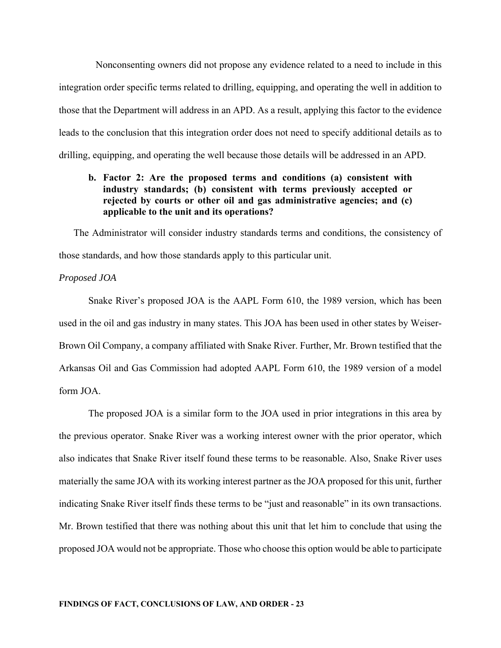Nonconsenting owners did not propose any evidence related to a need to include in this integration order specific terms related to drilling, equipping, and operating the well in addition to those that the Department will address in an APD. As a result, applying this factor to the evidence leads to the conclusion that this integration order does not need to specify additional details as to drilling, equipping, and operating the well because those details will be addressed in an APD.

# **b. Factor 2: Are the proposed terms and conditions (a) consistent with industry standards; (b) consistent with terms previously accepted or rejected by courts or other oil and gas administrative agencies; and (c) applicable to the unit and its operations?**

The Administrator will consider industry standards terms and conditions, the consistency of those standards, and how those standards apply to this particular unit.

### *Proposed JOA*

Snake River's proposed JOA is the AAPL Form 610, the 1989 version, which has been used in the oil and gas industry in many states. This JOA has been used in other states by Weiser-Brown Oil Company, a company affiliated with Snake River. Further, Mr. Brown testified that the Arkansas Oil and Gas Commission had adopted AAPL Form 610, the 1989 version of a model form JOA.

The proposed JOA is a similar form to the JOA used in prior integrations in this area by the previous operator. Snake River was a working interest owner with the prior operator, which also indicates that Snake River itself found these terms to be reasonable. Also, Snake River uses materially the same JOA with its working interest partner as the JOA proposed for this unit, further indicating Snake River itself finds these terms to be "just and reasonable" in its own transactions. Mr. Brown testified that there was nothing about this unit that let him to conclude that using the proposed JOA would not be appropriate. Those who choose this option would be able to participate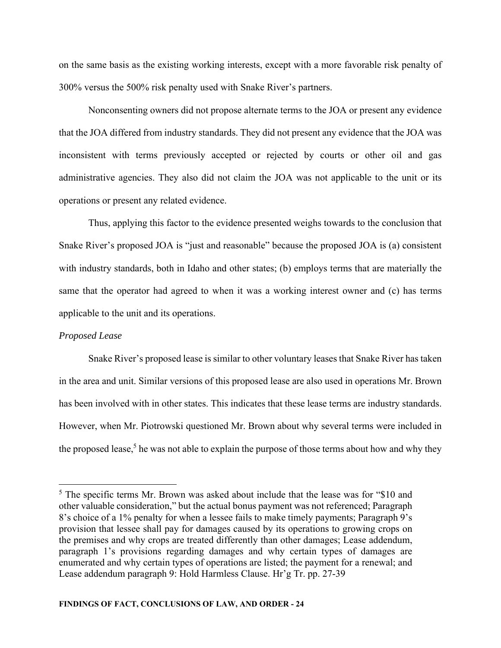on the same basis as the existing working interests, except with a more favorable risk penalty of 300% versus the 500% risk penalty used with Snake River's partners.

Nonconsenting owners did not propose alternate terms to the JOA or present any evidence that the JOA differed from industry standards. They did not present any evidence that the JOA was inconsistent with terms previously accepted or rejected by courts or other oil and gas administrative agencies. They also did not claim the JOA was not applicable to the unit or its operations or present any related evidence.

Thus, applying this factor to the evidence presented weighs towards to the conclusion that Snake River's proposed JOA is "just and reasonable" because the proposed JOA is (a) consistent with industry standards, both in Idaho and other states; (b) employs terms that are materially the same that the operator had agreed to when it was a working interest owner and (c) has terms applicable to the unit and its operations.

### *Proposed Lease*

 Snake River's proposed lease is similar to other voluntary leases that Snake River has taken in the area and unit. Similar versions of this proposed lease are also used in operations Mr. Brown has been involved with in other states. This indicates that these lease terms are industry standards. However, when Mr. Piotrowski questioned Mr. Brown about why several terms were included in the proposed lease,<sup>5</sup> he was not able to explain the purpose of those terms about how and why they

<sup>&</sup>lt;sup>5</sup> The specific terms Mr. Brown was asked about include that the lease was for "\$10 and other valuable consideration," but the actual bonus payment was not referenced; Paragraph 8's choice of a 1% penalty for when a lessee fails to make timely payments; Paragraph 9's provision that lessee shall pay for damages caused by its operations to growing crops on the premises and why crops are treated differently than other damages; Lease addendum, paragraph 1's provisions regarding damages and why certain types of damages are enumerated and why certain types of operations are listed; the payment for a renewal; and Lease addendum paragraph 9: Hold Harmless Clause. Hr'g Tr. pp. 27-39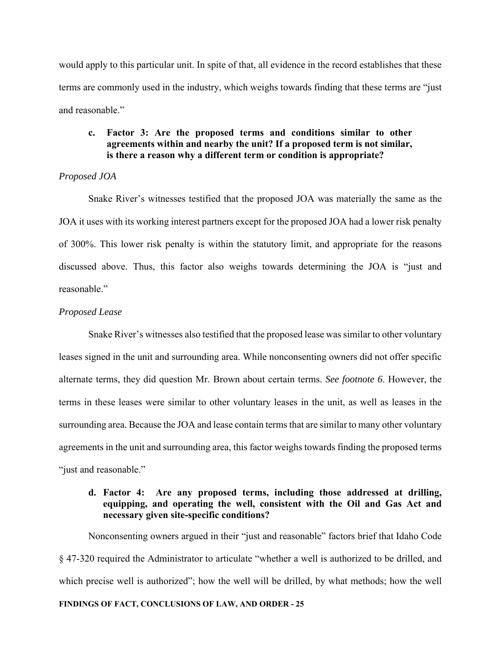would apply to this particular unit. In spite of that, all evidence in the record establishes that these terms are commonly used in the industry, which weighs towards finding that these terms are "just and reasonable."

# **c. Factor 3: Are the proposed terms and conditions similar to other agreements within and nearby the unit? If a proposed term is not similar, is there a reason why a different term or condition is appropriate?**

## *Proposed JOA*

Snake River's witnesses testified that the proposed JOA was materially the same as the JOA it uses with its working interest partners except for the proposed JOA had a lower risk penalty of 300%. This lower risk penalty is within the statutory limit, and appropriate for the reasons discussed above. Thus, this factor also weighs towards determining the JOA is "just and reasonable."

# *Proposed Lease*

Snake River's witnesses also testified that the proposed lease was similar to other voluntary leases signed in the unit and surrounding area. While nonconsenting owners did not offer specific alternate terms, they did question Mr. Brown about certain terms. *See footnote 6*. However, the terms in these leases were similar to other voluntary leases in the unit, as well as leases in the surrounding area. Because the JOA and lease contain terms that are similar to many other voluntary agreements in the unit and surrounding area, this factor weighs towards finding the proposed terms "just and reasonable."

# **d. Factor 4: Are any proposed terms, including those addressed at drilling, equipping, and operating the well, consistent with the Oil and Gas Act and necessary given site-specific conditions?**

**FINDINGS OF FACT, CONCLUSIONS OF LAW, AND ORDER - 25**  Nonconsenting owners argued in their "just and reasonable" factors brief that Idaho Code § 47-320 required the Administrator to articulate "whether a well is authorized to be drilled, and which precise well is authorized"; how the well will be drilled, by what methods; how the well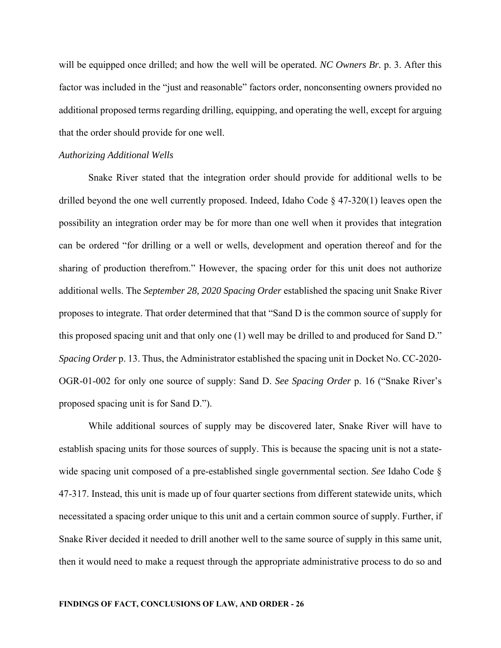will be equipped once drilled; and how the well will be operated. *NC Owners Br.* p. 3. After this factor was included in the "just and reasonable" factors order, nonconsenting owners provided no additional proposed terms regarding drilling, equipping, and operating the well, except for arguing that the order should provide for one well.

#### *Authorizing Additional Wells*

Snake River stated that the integration order should provide for additional wells to be drilled beyond the one well currently proposed. Indeed, Idaho Code § 47-320(1) leaves open the possibility an integration order may be for more than one well when it provides that integration can be ordered "for drilling or a well or wells, development and operation thereof and for the sharing of production therefrom." However, the spacing order for this unit does not authorize additional wells. The *September 28, 2020 Spacing Order* established the spacing unit Snake River proposes to integrate. That order determined that that "Sand D is the common source of supply for this proposed spacing unit and that only one (1) well may be drilled to and produced for Sand D." *Spacing Order* p. 13. Thus, the Administrator established the spacing unit in Docket No. CC-2020- OGR-01-002 for only one source of supply: Sand D. *See Spacing Order* p. 16 ("Snake River's proposed spacing unit is for Sand D.").

While additional sources of supply may be discovered later, Snake River will have to establish spacing units for those sources of supply. This is because the spacing unit is not a statewide spacing unit composed of a pre-established single governmental section. *See* Idaho Code § 47-317. Instead, this unit is made up of four quarter sections from different statewide units, which necessitated a spacing order unique to this unit and a certain common source of supply. Further, if Snake River decided it needed to drill another well to the same source of supply in this same unit, then it would need to make a request through the appropriate administrative process to do so and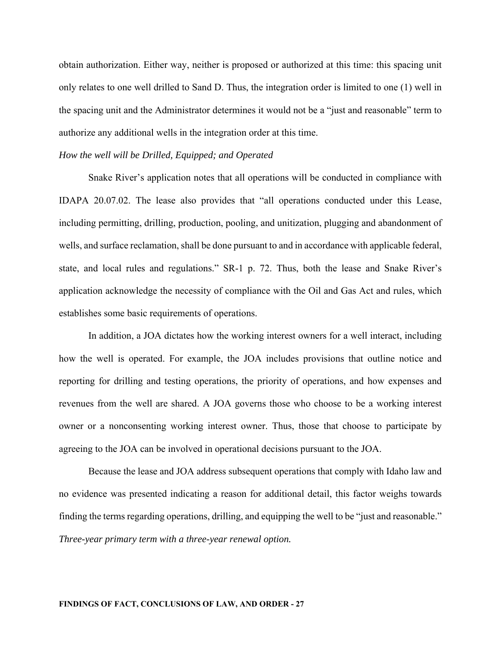obtain authorization. Either way, neither is proposed or authorized at this time: this spacing unit only relates to one well drilled to Sand D. Thus, the integration order is limited to one (1) well in the spacing unit and the Administrator determines it would not be a "just and reasonable" term to authorize any additional wells in the integration order at this time.

#### *How the well will be Drilled, Equipped; and Operated*

Snake River's application notes that all operations will be conducted in compliance with IDAPA 20.07.02. The lease also provides that "all operations conducted under this Lease, including permitting, drilling, production, pooling, and unitization, plugging and abandonment of wells, and surface reclamation, shall be done pursuant to and in accordance with applicable federal, state, and local rules and regulations." SR-1 p. 72. Thus, both the lease and Snake River's application acknowledge the necessity of compliance with the Oil and Gas Act and rules, which establishes some basic requirements of operations.

In addition, a JOA dictates how the working interest owners for a well interact, including how the well is operated. For example, the JOA includes provisions that outline notice and reporting for drilling and testing operations, the priority of operations, and how expenses and revenues from the well are shared. A JOA governs those who choose to be a working interest owner or a nonconsenting working interest owner. Thus, those that choose to participate by agreeing to the JOA can be involved in operational decisions pursuant to the JOA.

Because the lease and JOA address subsequent operations that comply with Idaho law and no evidence was presented indicating a reason for additional detail, this factor weighs towards finding the terms regarding operations, drilling, and equipping the well to be "just and reasonable." *Three-year primary term with a three-year renewal option.*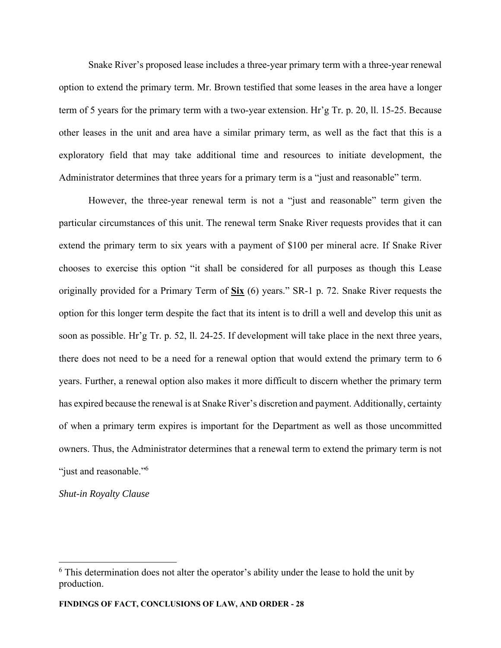Snake River's proposed lease includes a three-year primary term with a three-year renewal option to extend the primary term. Mr. Brown testified that some leases in the area have a longer term of 5 years for the primary term with a two-year extension. Hr'g Tr. p. 20, ll. 15-25. Because other leases in the unit and area have a similar primary term, as well as the fact that this is a exploratory field that may take additional time and resources to initiate development, the Administrator determines that three years for a primary term is a "just and reasonable" term.

However, the three-year renewal term is not a "just and reasonable" term given the particular circumstances of this unit. The renewal term Snake River requests provides that it can extend the primary term to six years with a payment of \$100 per mineral acre. If Snake River chooses to exercise this option "it shall be considered for all purposes as though this Lease originally provided for a Primary Term of **Six** (6) years." SR-1 p. 72. Snake River requests the option for this longer term despite the fact that its intent is to drill a well and develop this unit as soon as possible. Hr'g Tr. p. 52, ll. 24-25. If development will take place in the next three years, there does not need to be a need for a renewal option that would extend the primary term to 6 years. Further, a renewal option also makes it more difficult to discern whether the primary term has expired because the renewal is at Snake River's discretion and payment. Additionally, certainty of when a primary term expires is important for the Department as well as those uncommitted owners. Thus, the Administrator determines that a renewal term to extend the primary term is not "just and reasonable."<sup>6</sup>

*Shut-in Royalty Clause* 

 $6$  This determination does not alter the operator's ability under the lease to hold the unit by production.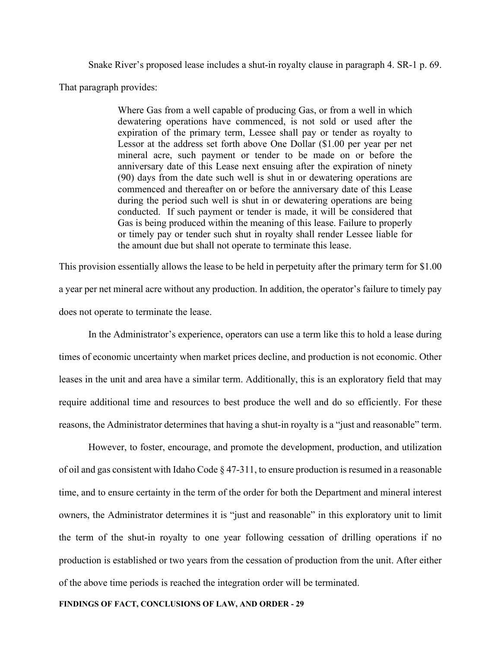Snake River's proposed lease includes a shut-in royalty clause in paragraph 4. SR-1 p. 69. That paragraph provides:

> Where Gas from a well capable of producing Gas, or from a well in which dewatering operations have commenced, is not sold or used after the expiration of the primary term, Lessee shall pay or tender as royalty to Lessor at the address set forth above One Dollar (\$1.00 per year per net mineral acre, such payment or tender to be made on or before the anniversary date of this Lease next ensuing after the expiration of ninety (90) days from the date such well is shut in or dewatering operations are commenced and thereafter on or before the anniversary date of this Lease during the period such well is shut in or dewatering operations are being conducted. If such payment or tender is made, it will be considered that Gas is being produced within the meaning of this lease. Failure to properly or timely pay or tender such shut in royalty shall render Lessee liable for the amount due but shall not operate to terminate this lease.

This provision essentially allows the lease to be held in perpetuity after the primary term for \$1.00 a year per net mineral acre without any production. In addition, the operator's failure to timely pay does not operate to terminate the lease.

In the Administrator's experience, operators can use a term like this to hold a lease during times of economic uncertainty when market prices decline, and production is not economic. Other leases in the unit and area have a similar term. Additionally, this is an exploratory field that may require additional time and resources to best produce the well and do so efficiently. For these reasons, the Administrator determines that having a shut-in royalty is a "just and reasonable" term.

However, to foster, encourage, and promote the development, production, and utilization of oil and gas consistent with Idaho Code § 47-311, to ensure production is resumed in a reasonable time, and to ensure certainty in the term of the order for both the Department and mineral interest owners, the Administrator determines it is "just and reasonable" in this exploratory unit to limit the term of the shut-in royalty to one year following cessation of drilling operations if no production is established or two years from the cessation of production from the unit. After either of the above time periods is reached the integration order will be terminated.

#### **FINDINGS OF FACT, CONCLUSIONS OF LAW, AND ORDER - 29**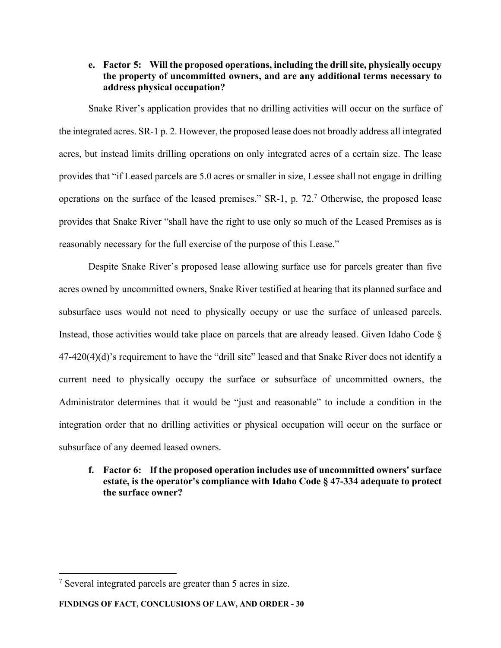# **e. Factor 5: Will the proposed operations, including the drill site, physically occupy the property of uncommitted owners, and are any additional terms necessary to address physical occupation?**

Snake River's application provides that no drilling activities will occur on the surface of the integrated acres. SR-1 p. 2. However, the proposed lease does not broadly address all integrated acres, but instead limits drilling operations on only integrated acres of a certain size. The lease provides that "if Leased parcels are 5.0 acres or smaller in size, Lessee shall not engage in drilling operations on the surface of the leased premises."  $SR-1$ , p. 72.<sup>7</sup> Otherwise, the proposed lease provides that Snake River "shall have the right to use only so much of the Leased Premises as is reasonably necessary for the full exercise of the purpose of this Lease."

Despite Snake River's proposed lease allowing surface use for parcels greater than five acres owned by uncommitted owners, Snake River testified at hearing that its planned surface and subsurface uses would not need to physically occupy or use the surface of unleased parcels. Instead, those activities would take place on parcels that are already leased. Given Idaho Code § 47-420(4)(d)'s requirement to have the "drill site" leased and that Snake River does not identify a current need to physically occupy the surface or subsurface of uncommitted owners, the Administrator determines that it would be "just and reasonable" to include a condition in the integration order that no drilling activities or physical occupation will occur on the surface or subsurface of any deemed leased owners.

# **f. Factor 6: If the proposed operation includes use of uncommitted owners' surface estate, is the operator's compliance with Idaho Code § 47-334 adequate to protect the surface owner?**

 $7$  Several integrated parcels are greater than 5 acres in size.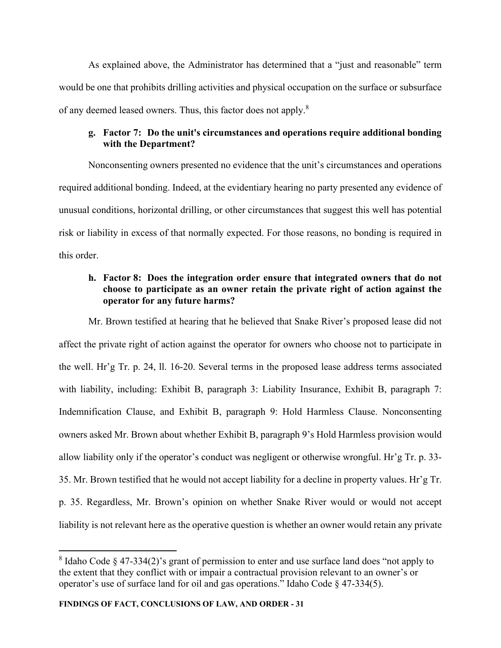As explained above, the Administrator has determined that a "just and reasonable" term would be one that prohibits drilling activities and physical occupation on the surface or subsurface of any deemed leased owners. Thus, this factor does not apply.<sup>8</sup>

# **g. Factor 7: Do the unit's circumstances and operations require additional bonding with the Department?**

Nonconsenting owners presented no evidence that the unit's circumstances and operations required additional bonding. Indeed, at the evidentiary hearing no party presented any evidence of unusual conditions, horizontal drilling, or other circumstances that suggest this well has potential risk or liability in excess of that normally expected. For those reasons, no bonding is required in this order.

# **h. Factor 8: Does the integration order ensure that integrated owners that do not choose to participate as an owner retain the private right of action against the operator for any future harms?**

 Mr. Brown testified at hearing that he believed that Snake River's proposed lease did not affect the private right of action against the operator for owners who choose not to participate in the well. Hr'g Tr. p. 24, ll. 16-20. Several terms in the proposed lease address terms associated with liability, including: Exhibit B, paragraph 3: Liability Insurance, Exhibit B, paragraph 7: Indemnification Clause, and Exhibit B, paragraph 9: Hold Harmless Clause. Nonconsenting owners asked Mr. Brown about whether Exhibit B, paragraph 9's Hold Harmless provision would allow liability only if the operator's conduct was negligent or otherwise wrongful. Hr'g Tr. p. 33- 35. Mr. Brown testified that he would not accept liability for a decline in property values. Hr'g Tr. p. 35. Regardless, Mr. Brown's opinion on whether Snake River would or would not accept liability is not relevant here as the operative question is whether an owner would retain any private

 $8$  Idaho Code  $\S$  47-334(2)'s grant of permission to enter and use surface land does "not apply to the extent that they conflict with or impair a contractual provision relevant to an owner's or operator's use of surface land for oil and gas operations." Idaho Code § 47-334(5).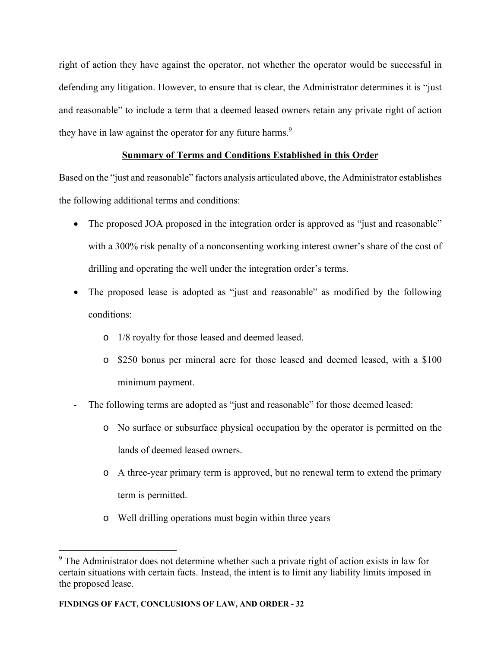right of action they have against the operator, not whether the operator would be successful in defending any litigation. However, to ensure that is clear, the Administrator determines it is "just and reasonable" to include a term that a deemed leased owners retain any private right of action they have in law against the operator for any future harms.<sup>9</sup>

# **Summary of Terms and Conditions Established in this Order**

Based on the "just and reasonable" factors analysis articulated above, the Administrator establishes the following additional terms and conditions:

- The proposed JOA proposed in the integration order is approved as "just and reasonable" with a 300% risk penalty of a nonconsenting working interest owner's share of the cost of drilling and operating the well under the integration order's terms.
- The proposed lease is adopted as "just and reasonable" as modified by the following conditions:
	- o 1/8 royalty for those leased and deemed leased.
	- o \$250 bonus per mineral acre for those leased and deemed leased, with a \$100 minimum payment.
- The following terms are adopted as "just and reasonable" for those deemed leased:
	- o No surface or subsurface physical occupation by the operator is permitted on the lands of deemed leased owners.
	- o A three-year primary term is approved, but no renewal term to extend the primary term is permitted.
	- o Well drilling operations must begin within three years

 $9$  The Administrator does not determine whether such a private right of action exists in law for certain situations with certain facts. Instead, the intent is to limit any liability limits imposed in the proposed lease.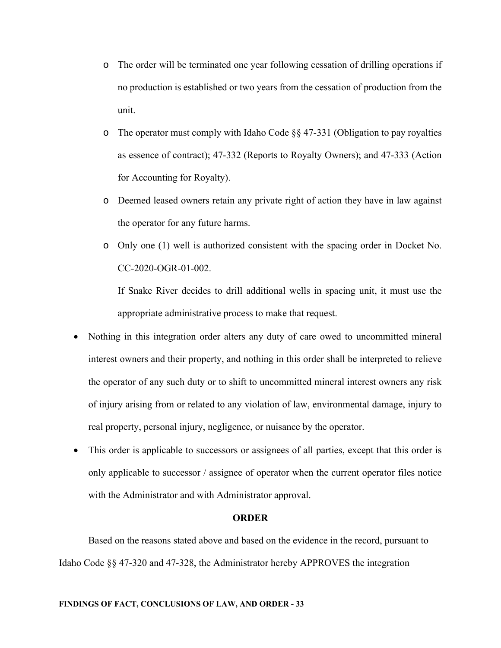- o The order will be terminated one year following cessation of drilling operations if no production is established or two years from the cessation of production from the unit.
- o The operator must comply with Idaho Code §§ 47-331 (Obligation to pay royalties as essence of contract); 47-332 (Reports to Royalty Owners); and 47-333 (Action for Accounting for Royalty).
- o Deemed leased owners retain any private right of action they have in law against the operator for any future harms.
- o Only one (1) well is authorized consistent with the spacing order in Docket No. CC-2020-OGR-01-002.

If Snake River decides to drill additional wells in spacing unit, it must use the appropriate administrative process to make that request.

- Nothing in this integration order alters any duty of care owed to uncommitted mineral interest owners and their property, and nothing in this order shall be interpreted to relieve the operator of any such duty or to shift to uncommitted mineral interest owners any risk of injury arising from or related to any violation of law, environmental damage, injury to real property, personal injury, negligence, or nuisance by the operator.
- This order is applicable to successors or assignees of all parties, except that this order is only applicable to successor / assignee of operator when the current operator files notice with the Administrator and with Administrator approval.

## **ORDER**

 Based on the reasons stated above and based on the evidence in the record, pursuant to Idaho Code §§ 47-320 and 47-328, the Administrator hereby APPROVES the integration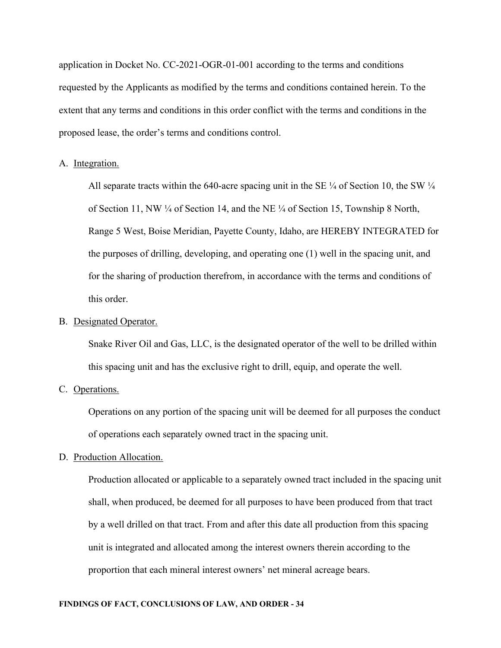application in Docket No. CC-2021-OGR-01-001 according to the terms and conditions requested by the Applicants as modified by the terms and conditions contained herein. To the extent that any terms and conditions in this order conflict with the terms and conditions in the proposed lease, the order's terms and conditions control.

## A. Integration.

All separate tracts within the 640-acre spacing unit in the SE  $\frac{1}{4}$  of Section 10, the SW  $\frac{1}{4}$ of Section 11, NW  $\frac{1}{4}$  of Section 14, and the NE  $\frac{1}{4}$  of Section 15, Township 8 North, Range 5 West, Boise Meridian, Payette County, Idaho, are HEREBY INTEGRATED for the purposes of drilling, developing, and operating one (1) well in the spacing unit, and for the sharing of production therefrom, in accordance with the terms and conditions of this order.

## B. Designated Operator.

Snake River Oil and Gas, LLC, is the designated operator of the well to be drilled within this spacing unit and has the exclusive right to drill, equip, and operate the well.

## C. Operations.

Operations on any portion of the spacing unit will be deemed for all purposes the conduct of operations each separately owned tract in the spacing unit.

## D. Production Allocation.

Production allocated or applicable to a separately owned tract included in the spacing unit shall, when produced, be deemed for all purposes to have been produced from that tract by a well drilled on that tract. From and after this date all production from this spacing unit is integrated and allocated among the interest owners therein according to the proportion that each mineral interest owners' net mineral acreage bears.

## **FINDINGS OF FACT, CONCLUSIONS OF LAW, AND ORDER - 34**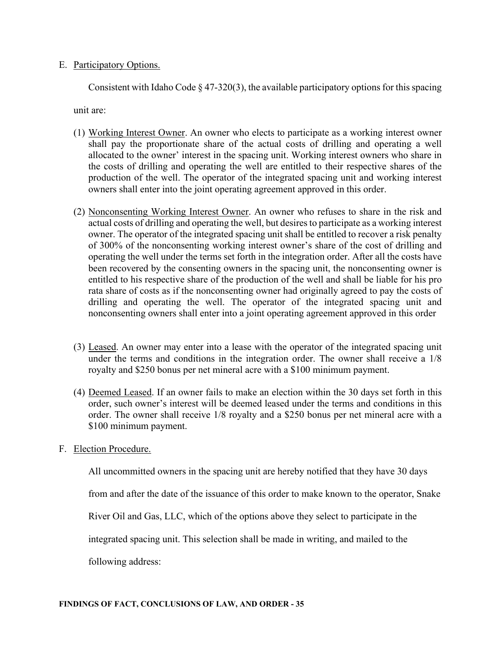# E. Participatory Options.

Consistent with Idaho Code  $\S$  47-320(3), the available participatory options for this spacing

unit are:

- (1) Working Interest Owner. An owner who elects to participate as a working interest owner shall pay the proportionate share of the actual costs of drilling and operating a well allocated to the owner' interest in the spacing unit. Working interest owners who share in the costs of drilling and operating the well are entitled to their respective shares of the production of the well. The operator of the integrated spacing unit and working interest owners shall enter into the joint operating agreement approved in this order.
- (2) Nonconsenting Working Interest Owner. An owner who refuses to share in the risk and actual costs of drilling and operating the well, but desires to participate as a working interest owner. The operator of the integrated spacing unit shall be entitled to recover a risk penalty of 300% of the nonconsenting working interest owner's share of the cost of drilling and operating the well under the terms set forth in the integration order. After all the costs have been recovered by the consenting owners in the spacing unit, the nonconsenting owner is entitled to his respective share of the production of the well and shall be liable for his pro rata share of costs as if the nonconsenting owner had originally agreed to pay the costs of drilling and operating the well. The operator of the integrated spacing unit and nonconsenting owners shall enter into a joint operating agreement approved in this order
- (3) Leased. An owner may enter into a lease with the operator of the integrated spacing unit under the terms and conditions in the integration order. The owner shall receive a 1/8 royalty and \$250 bonus per net mineral acre with a \$100 minimum payment.
- (4) Deemed Leased. If an owner fails to make an election within the 30 days set forth in this order, such owner's interest will be deemed leased under the terms and conditions in this order. The owner shall receive 1/8 royalty and a \$250 bonus per net mineral acre with a \$100 minimum payment.
- F. Election Procedure.

All uncommitted owners in the spacing unit are hereby notified that they have 30 days

from and after the date of the issuance of this order to make known to the operator, Snake

River Oil and Gas, LLC, which of the options above they select to participate in the

integrated spacing unit. This selection shall be made in writing, and mailed to the

following address: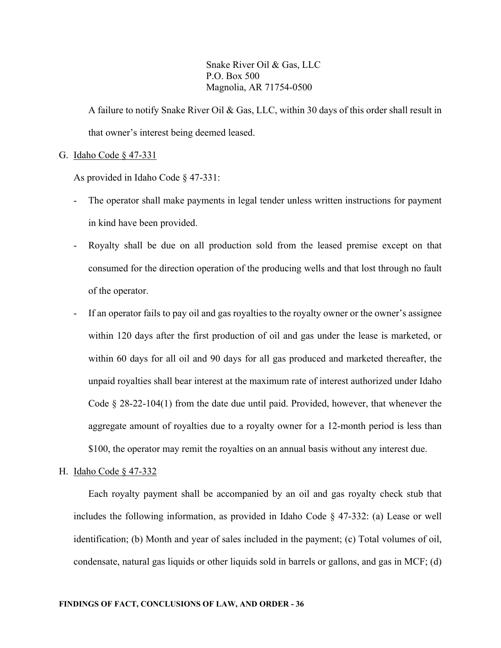Snake River Oil & Gas, LLC P.O. Box 500 Magnolia, AR 71754-0500

A failure to notify Snake River Oil & Gas, LLC, within 30 days of this order shall result in that owner's interest being deemed leased.

#### G. Idaho Code § 47-331

As provided in Idaho Code § 47-331:

- The operator shall make payments in legal tender unless written instructions for payment in kind have been provided.
- Royalty shall be due on all production sold from the leased premise except on that consumed for the direction operation of the producing wells and that lost through no fault of the operator.
- If an operator fails to pay oil and gas royalties to the royalty owner or the owner's assignee within 120 days after the first production of oil and gas under the lease is marketed, or within 60 days for all oil and 90 days for all gas produced and marketed thereafter, the unpaid royalties shall bear interest at the maximum rate of interest authorized under Idaho Code § 28-22-104(1) from the date due until paid. Provided, however, that whenever the aggregate amount of royalties due to a royalty owner for a 12-month period is less than \$100, the operator may remit the royalties on an annual basis without any interest due.
- H. Idaho Code § 47-332

Each royalty payment shall be accompanied by an oil and gas royalty check stub that includes the following information, as provided in Idaho Code  $\S$  47-332: (a) Lease or well identification; (b) Month and year of sales included in the payment; (c) Total volumes of oil, condensate, natural gas liquids or other liquids sold in barrels or gallons, and gas in MCF; (d)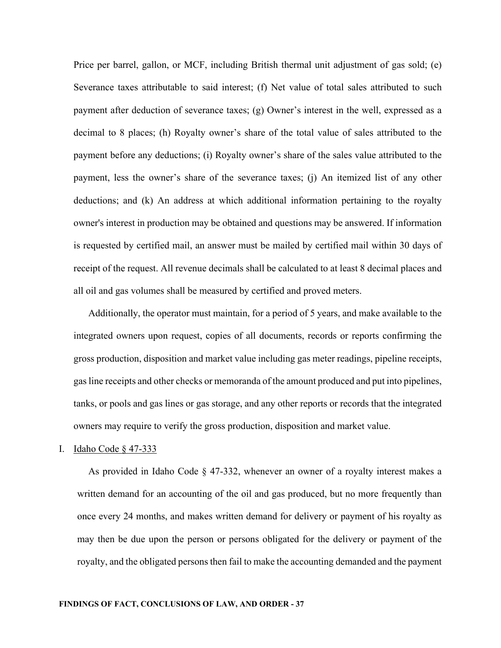Price per barrel, gallon, or MCF, including British thermal unit adjustment of gas sold; (e) Severance taxes attributable to said interest; (f) Net value of total sales attributed to such payment after deduction of severance taxes; (g) Owner's interest in the well, expressed as a decimal to 8 places; (h) Royalty owner's share of the total value of sales attributed to the payment before any deductions; (i) Royalty owner's share of the sales value attributed to the payment, less the owner's share of the severance taxes; (j) An itemized list of any other deductions; and (k) An address at which additional information pertaining to the royalty owner's interest in production may be obtained and questions may be answered. If information is requested by certified mail, an answer must be mailed by certified mail within 30 days of receipt of the request. All revenue decimals shall be calculated to at least 8 decimal places and all oil and gas volumes shall be measured by certified and proved meters.

Additionally, the operator must maintain, for a period of 5 years, and make available to the integrated owners upon request, copies of all documents, records or reports confirming the gross production, disposition and market value including gas meter readings, pipeline receipts, gas line receipts and other checks or memoranda of the amount produced and put into pipelines, tanks, or pools and gas lines or gas storage, and any other reports or records that the integrated owners may require to verify the gross production, disposition and market value.

#### I. Idaho Code § 47-333

As provided in Idaho Code § 47-332, whenever an owner of a royalty interest makes a written demand for an accounting of the oil and gas produced, but no more frequently than once every 24 months, and makes written demand for delivery or payment of his royalty as may then be due upon the person or persons obligated for the delivery or payment of the royalty, and the obligated persons then fail to make the accounting demanded and the payment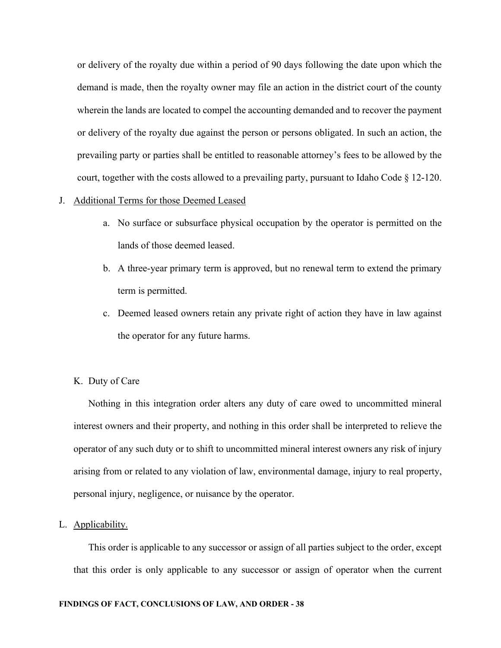or delivery of the royalty due within a period of 90 days following the date upon which the demand is made, then the royalty owner may file an action in the district court of the county wherein the lands are located to compel the accounting demanded and to recover the payment or delivery of the royalty due against the person or persons obligated. In such an action, the prevailing party or parties shall be entitled to reasonable attorney's fees to be allowed by the court, together with the costs allowed to a prevailing party, pursuant to Idaho Code § 12-120.

## J. Additional Terms for those Deemed Leased

- a. No surface or subsurface physical occupation by the operator is permitted on the lands of those deemed leased.
- b. A three-year primary term is approved, but no renewal term to extend the primary term is permitted.
- c. Deemed leased owners retain any private right of action they have in law against the operator for any future harms.

## K. Duty of Care

Nothing in this integration order alters any duty of care owed to uncommitted mineral interest owners and their property, and nothing in this order shall be interpreted to relieve the operator of any such duty or to shift to uncommitted mineral interest owners any risk of injury arising from or related to any violation of law, environmental damage, injury to real property, personal injury, negligence, or nuisance by the operator.

## L. Applicability.

This order is applicable to any successor or assign of all parties subject to the order, except that this order is only applicable to any successor or assign of operator when the current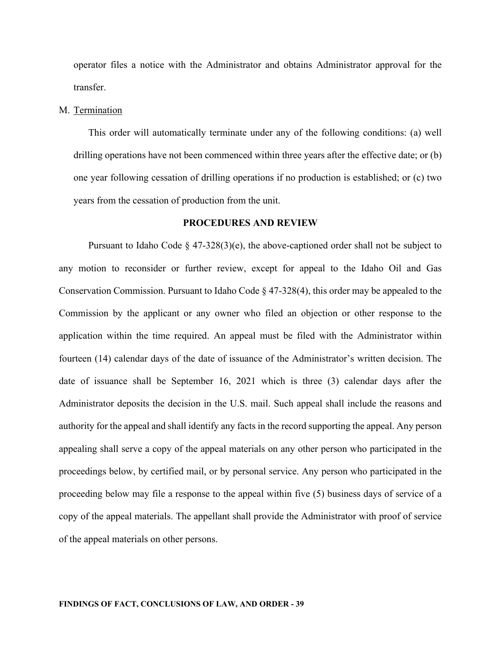operator files a notice with the Administrator and obtains Administrator approval for the transfer.

#### M. Termination

This order will automatically terminate under any of the following conditions: (a) well drilling operations have not been commenced within three years after the effective date; or (b) one year following cessation of drilling operations if no production is established; or (c) two years from the cessation of production from the unit.

### **PROCEDURES AND REVIEW**

Pursuant to Idaho Code  $\S$  47-328(3)(e), the above-captioned order shall not be subject to any motion to reconsider or further review, except for appeal to the Idaho Oil and Gas Conservation Commission. Pursuant to Idaho Code § 47-328(4), this order may be appealed to the Commission by the applicant or any owner who filed an objection or other response to the application within the time required. An appeal must be filed with the Administrator within fourteen (14) calendar days of the date of issuance of the Administrator's written decision. The date of issuance shall be September 16, 2021 which is three (3) calendar days after the Administrator deposits the decision in the U.S. mail. Such appeal shall include the reasons and authority for the appeal and shall identify any facts in the record supporting the appeal. Any person appealing shall serve a copy of the appeal materials on any other person who participated in the proceedings below, by certified mail, or by personal service. Any person who participated in the proceeding below may file a response to the appeal within five (5) business days of service of a copy of the appeal materials. The appellant shall provide the Administrator with proof of service of the appeal materials on other persons.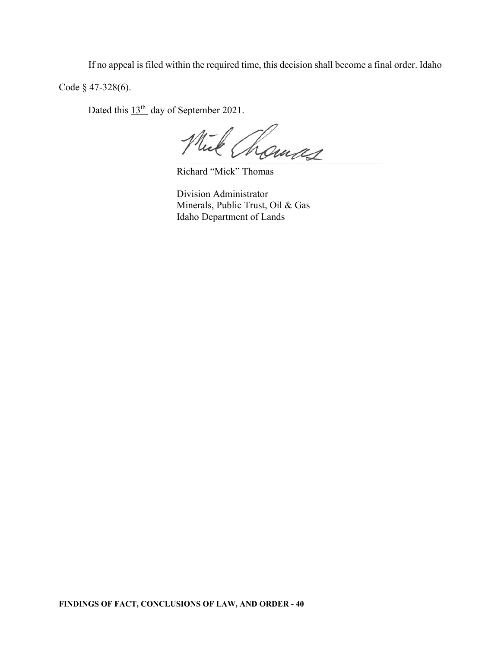If no appeal is filed within the required time, this decision shall become a final order. Idaho

Code § 47-328(6).

Dated this  $13<sup>th</sup>$  day of September 2021.

homas

Richard "Mick" Thomas

Division Administrator Minerals, Public Trust, Oil & Gas Idaho Department of Lands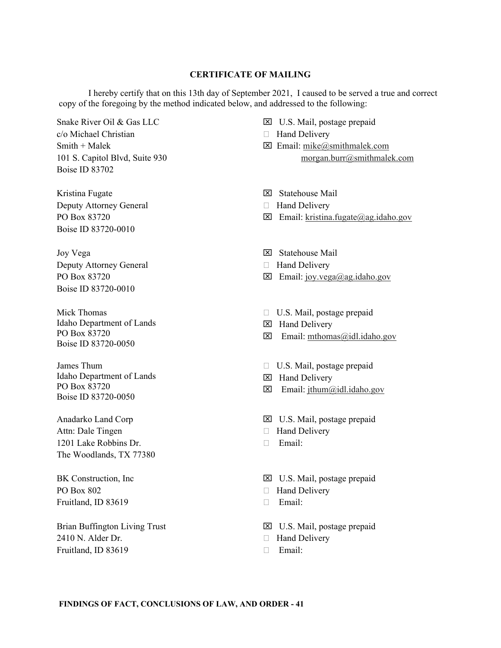### **CERTIFICATE OF MAILING**

 I hereby certify that on this 13th day of September 2021, I caused to be served a true and correct copy of the foregoing by the method indicated below, and addressed to the following:

Snake River Oil & Gas LLC c/o Michael Christian Smith + Malek 101 S. Capitol Blvd, Suite 930 Boise ID 83702

Kristina Fugate Deputy Attorney General PO Box 83720 Boise ID 83720-0010

Joy Vega Deputy Attorney General PO Box 83720 Boise ID 83720-0010

Mick Thomas Idaho Department of Lands PO Box 83720 Boise ID 83720-0050

James Thum Idaho Department of Lands PO Box 83720 Boise ID 83720-0050

Anadarko Land Corp Attn: Dale Tingen 1201 Lake Robbins Dr. The Woodlands, TX 77380

BK Construction, Inc PO Box 802 Fruitland, ID 83619

Brian Buffington Living Trust 2410 N. Alder Dr. Fruitland, ID 83619

- U.S. Mail, postage prepaid
- □ Hand Delivery
- $\boxtimes$  Email: mike@smithmalek.com morgan.burr@smithmalek.com
- Statehouse Mail
- □ Hand Delivery
- $\boxtimes$  Email: kristina.fugate@ag.idaho.gov
- Statehouse Mail
- □ Hand Delivery
- $\boxtimes$  Email: joy.vega@ag.idaho.gov
- U.S. Mail, postage prepaid
- Hand Delivery
- $\boxtimes$  Email: mthomas@idl.idaho.gov
- U.S. Mail, postage prepaid
- **EX** Hand Delivery
- $\boxtimes$  Email: jthum@idl.idaho.gov
- U.S. Mail, postage prepaid
- Hand Delivery
- Email:
- U.S. Mail, postage prepaid
- □ Hand Delivery
- Email:
- U.S. Mail, postage prepaid
- □ Hand Delivery
- Email: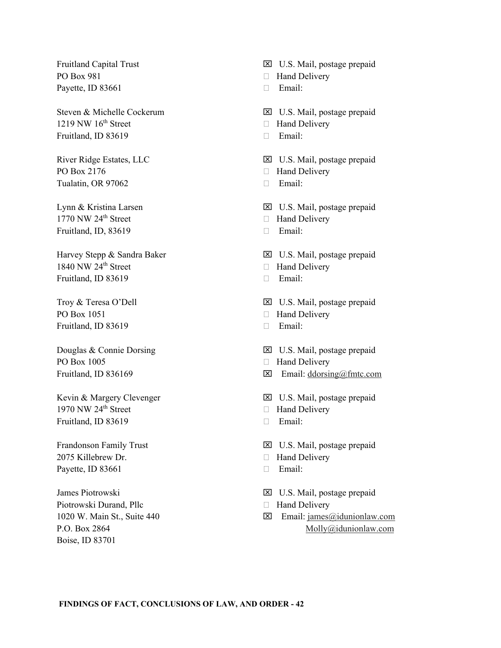Fruitland Capital Trust PO Box 981 Payette, ID 83661

Steven & Michelle Cockerum  $1219$  NW  $16<sup>th</sup>$  Street Fruitland, ID 83619

River Ridge Estates, LLC PO Box 2176 Tualatin, OR 97062

Lynn & Kristina Larsen  $1770$  NW  $24<sup>th</sup>$  Street Fruitland, ID, 83619

Harvey Stepp & Sandra Baker 1840 NW  $24<sup>th</sup>$  Street Fruitland, ID 83619

Troy & Teresa O'Dell PO Box 1051 Fruitland, ID 83619

Douglas & Connie Dorsing PO Box 1005 Fruitland, ID 836169

Kevin & Margery Clevenger 1970 NW  $24<sup>th</sup>$  Street Fruitland, ID 83619

Frandonson Family Trust 2075 Killebrew Dr. Payette, ID 83661

James Piotrowski Piotrowski Durand, Pllc 1020 W. Main St., Suite 440 P.O. Box 2864 Boise, ID 83701

U.S. Mail, postage prepaid

- □ Hand Delivery
- Email:
- U.S. Mail, postage prepaid
- □ Hand Delivery
- Email:
- U.S. Mail, postage prepaid
- $\Box$  Hand Delivery
- Email:
- U.S. Mail, postage prepaid
- □ Hand Delivery
- Email:
- U.S. Mail, postage prepaid
- □ Hand Delivery
- Email:
- U.S. Mail, postage prepaid
- □ Hand Delivery
- Email:
- U.S. Mail, postage prepaid
- $\Box$  Hand Delivery
- $\boxtimes$  Email: ddorsing@fmtc.com
- U.S. Mail, postage prepaid
- Hand Delivery
- Email:
- U.S. Mail, postage prepaid
- □ Hand Delivery
- Email:
- U.S. Mail, postage prepaid
- □ Hand Delivery
- Email: james@idunionlaw.com Molly@idunionlaw.com